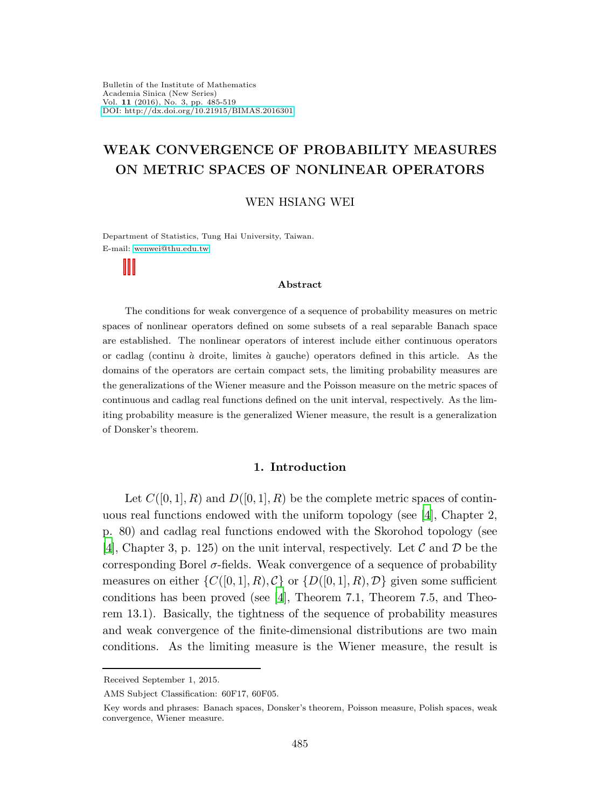# WEAK CONVERGENCE OF PROBABILITY MEASURES ON METRIC SPACES OF NONLINEAR OPERATORS

### WEN HSIANG WEI

Department of Statistics, Tung Hai University, Taiwan. E-mail: [wenwei@thu.edu.tw](mailto:wenwei@thu.edu.tw)

#### Abstract

The conditions for weak convergence of a sequence of probability measures on metric spaces of nonlinear operators defined on some subsets of a real separable Banach space are established. The nonlinear operators of interest include either continuous operators or cadlag (continu  $\dot{a}$  droite, limites  $\dot{a}$  gauche) operators defined in this article. As the domains of the operators are certain compact sets, the limiting probability measures are the generalizations of the Wiener measure and the Poisson measure on the metric spaces of continuous and cadlag real functions defined on the unit interval, respectively. As the limiting probability measure is the generalized Wiener measure, the result is a generalization of Donsker's theorem.

### 1. Introduction

Let  $C([0, 1], R)$  and  $D([0, 1], R)$  be the complete metric spaces of continuous real functions endowed with the uniform topology (see [\[4\]](#page-33-0), Chapter 2, p. 80) and cadlag real functions endowed with the Skorohod topology (see [\[4\]](#page-33-0), Chapter 3, p. 125) on the unit interval, respectively. Let  $\mathcal C$  and  $\mathcal D$  be the corresponding Borel  $\sigma$ -fields. Weak convergence of a sequence of probability measures on either  $\{C([0, 1], R), C\}$  or  $\{D([0, 1], R), D\}$  given some sufficient conditions has been proved (see [\[4\]](#page-33-0), Theorem 7.1, Theorem 7.5, and Theorem 13.1). Basically, the tightness of the sequence of probability measures and weak convergence of the finite-dimensional distributions are two main conditions. As the limiting measure is the Wiener measure, the result is

Received September 1, 2015.

AMS Subject Classification: 60F17, 60F05.

Key words and phrases: Banach spaces, Donsker's theorem, Poisson measure, Polish spaces, weak convergence, Wiener measure.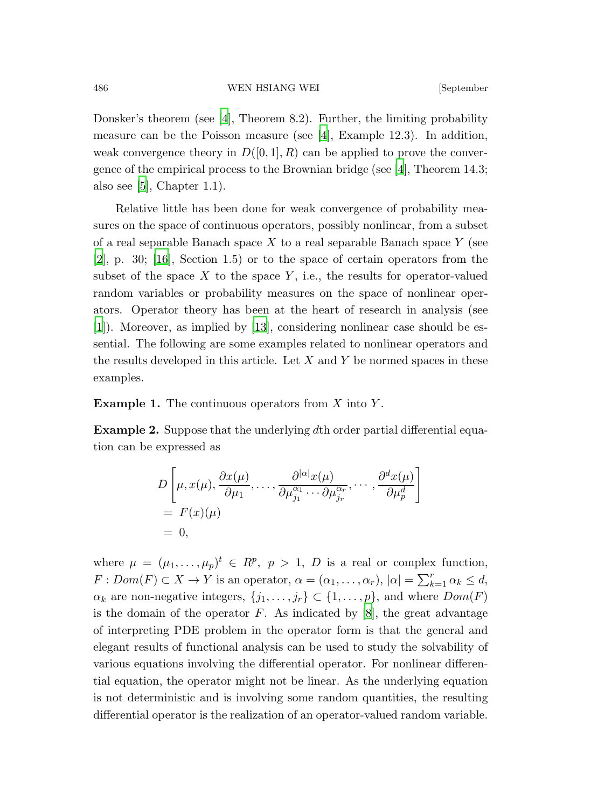Donsker's theorem (see [\[4\]](#page-33-0), Theorem 8.2). Further, the limiting probability measure can be the Poisson measure (see [\[4](#page-33-0)], Example 12.3). In addition, weak convergence theory in  $D([0, 1], R)$  can be applied to prove the convergence of the empirical process to the Brownian bridge (see [\[4](#page-33-0)], Theorem 14.3; also see  $[5]$ , Chapter 1.1.

Relative little has been done for weak convergence of probability measures on the space of continuous operators, possibly nonlinear, from a subset of a real separable Banach space  $X$  to a real separable Banach space  $Y$  (see  $[2]$  $[2]$ , p. 30;  $[16]$ , Section 1.5) or to the space of certain operators from the subset of the space  $X$  to the space  $Y$ , i.e., the results for operator-valued random variables or probability measures on the space of nonlinear operators. Operator theory has been at the heart of research in analysis (see [\[1](#page-33-3)]). Moreover, as implied by [\[13](#page-34-1)], considering nonlinear case should be essential. The following are some examples related to nonlinear operators and the results developed in this article. Let  $X$  and  $Y$  be normed spaces in these examples.

**Example 1.** The continuous operators from  $X$  into  $Y$ .

Example 2. Suppose that the underlying dth order partial differential equation can be expressed as

$$
D\left[\mu, x(\mu), \frac{\partial x(\mu)}{\partial \mu_1}, \dots, \frac{\partial^{|\alpha|} x(\mu)}{\partial \mu_{j_1}^{\alpha_1} \cdots \partial \mu_{j_r}^{\alpha_r}}, \dots, \frac{\partial^d x(\mu)}{\partial \mu_p^d}\right]
$$
  
=  $F(x)(\mu)$   
= 0,

where  $\mu = (\mu_1, \dots, \mu_p)^t \in R^p$ ,  $p > 1$ , D is a real or complex function,  $F: Dom(F) \subset X \to Y$  is an operator,  $\alpha = (\alpha_1, \ldots, \alpha_r), |\alpha| = \sum_{k=1}^r \alpha_k \leq d$ ,  $\alpha_k$  are non-negative integers,  $\{j_1, \ldots, j_r\} \subset \{1, \ldots, p\}$ , and where  $Dom(F)$ is the domain of the operator  $F$ . As indicated by  $[8]$ , the great advantage of interpreting PDE problem in the operator form is that the general and elegant results of functional analysis can be used to study the solvability of various equations involving the differential operator. For nonlinear differential equation, the operator might not be linear. As the underlying equation is not deterministic and is involving some random quantities, the resulting differential operator is the realization of an operator-valued random variable.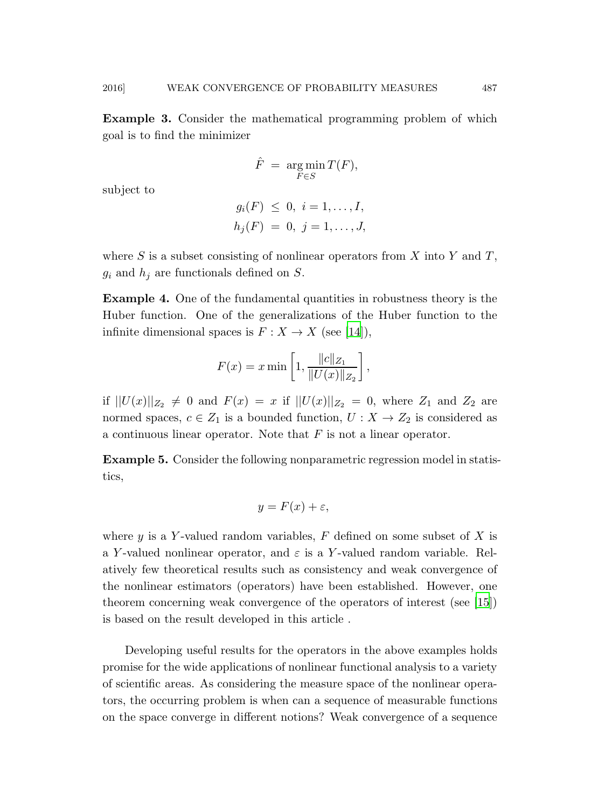Example 3. Consider the mathematical programming problem of which goal is to find the minimizer

$$
\hat{F} = \argmin_{F \in S} T(F),
$$

subject to

$$
g_i(F) \leq 0, \ i = 1, ..., I,
$$
  
 $h_j(F) = 0, \ j = 1, ..., J,$ 

where S is a subset consisting of nonlinear operators from X into Y and T,  $g_i$  and  $h_j$  are functionals defined on S.

Example 4. One of the fundamental quantities in robustness theory is the Huber function. One of the generalizations of the Huber function to the infinite dimensional spaces is  $F: X \to X$  (see [\[14\]](#page-34-2)),

$$
F(x) = x \min\left[1, \frac{\|c\|_{Z_1}}{\|U(x)\|_{Z_2}}\right],
$$

if  $||U(x)||_{Z_2} \neq 0$  and  $F(x) = x$  if  $||U(x)||_{Z_2} = 0$ , where  $Z_1$  and  $Z_2$  are normed spaces,  $c \in Z_1$  is a bounded function,  $U : X \to Z_2$  is considered as a continuous linear operator. Note that  $F$  is not a linear operator.

Example 5. Consider the following nonparametric regression model in statistics,

$$
y = F(x) + \varepsilon,
$$

where y is a Y-valued random variables,  $F$  defined on some subset of X is a Y-valued nonlinear operator, and  $\varepsilon$  is a Y-valued random variable. Relatively few theoretical results such as consistency and weak convergence of the nonlinear estimators (operators) have been established. However, one theorem concerning weak convergence of the operators of interest (see [\[15](#page-34-3)]) is based on the result developed in this article .

Developing useful results for the operators in the above examples holds promise for the wide applications of nonlinear functional analysis to a variety of scientific areas. As considering the measure space of the nonlinear operators, the occurring problem is when can a sequence of measurable functions on the space converge in different notions? Weak convergence of a sequence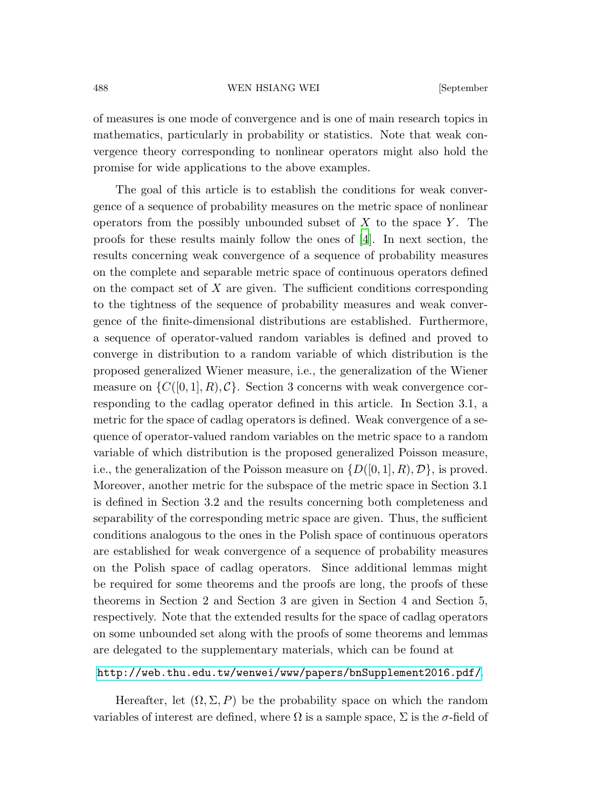of measures is one mode of convergence and is one of main research topics in mathematics, particularly in probability or statistics. Note that weak convergence theory corresponding to nonlinear operators might also hold the promise for wide applications to the above examples.

The goal of this article is to establish the conditions for weak convergence of a sequence of probability measures on the metric space of nonlinear operators from the possibly unbounded subset of  $X$  to the space  $Y$ . The proofs for these results mainly follow the ones of [\[4](#page-33-0)]. In next section, the results concerning weak convergence of a sequence of probability measures on the complete and separable metric space of continuous operators defined on the compact set of  $X$  are given. The sufficient conditions corresponding to the tightness of the sequence of probability measures and weak convergence of the finite-dimensional distributions are established. Furthermore, a sequence of operator-valued random variables is defined and proved to converge in distribution to a random variable of which distribution is the proposed generalized Wiener measure, i.e., the generalization of the Wiener measure on  $\{C([0, 1], R), C\}$ . Section 3 concerns with weak convergence corresponding to the cadlag operator defined in this article. In Section 3.1, a metric for the space of cadlag operators is defined. Weak convergence of a sequence of operator-valued random variables on the metric space to a random variable of which distribution is the proposed generalized Poisson measure, i.e., the generalization of the Poisson measure on  $\{D([0, 1], R), \mathcal{D}\}\)$ , is proved. Moreover, another metric for the subspace of the metric space in Section 3.1 is defined in Section 3.2 and the results concerning both completeness and separability of the corresponding metric space are given. Thus, the sufficient conditions analogous to the ones in the Polish space of continuous operators are established for weak convergence of a sequence of probability measures on the Polish space of cadlag operators. Since additional lemmas might be required for some theorems and the proofs are long, the proofs of these theorems in Section 2 and Section 3 are given in Section 4 and Section 5, respectively. Note that the extended results for the space of cadlag operators on some unbounded set along with the proofs of some theorems and lemmas are delegated to the supplementary materials, which can be found at

# <http://web.thu.edu.tw/wenwei/www/papers/bnSupplement2016.pdf/>.

Hereafter, let  $(\Omega, \Sigma, P)$  be the probability space on which the random variables of interest are defined, where  $\Omega$  is a sample space,  $\Sigma$  is the  $\sigma$ -field of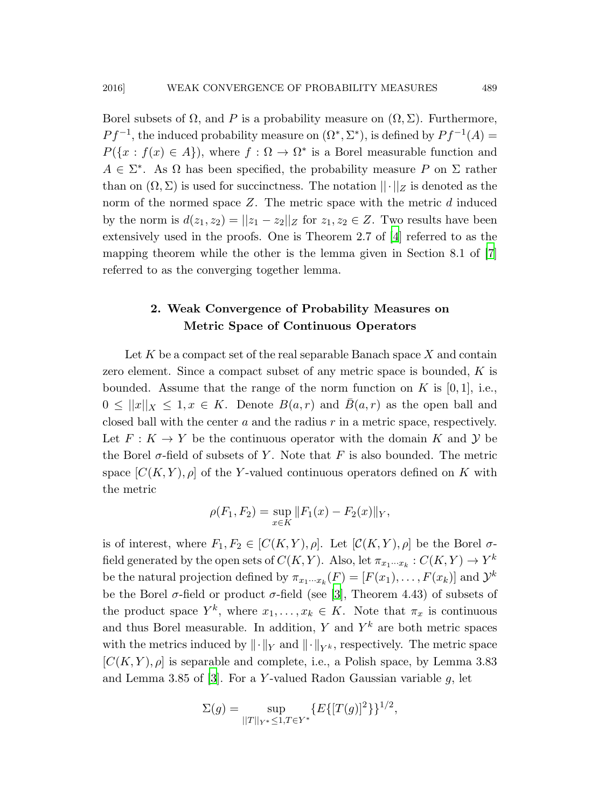Borel subsets of  $\Omega$ , and P is a probability measure on  $(\Omega, \Sigma)$ . Furthermore,  $Pf^{-1}$ , the induced probability measure on  $(\Omega^*, \Sigma^*)$ , is defined by  $Pf^{-1}(A) =$  $P({x : f(x) \in A})$ , where  $f : \Omega \to \Omega^*$  is a Borel measurable function and  $A \in \Sigma^*$ . As  $\Omega$  has been specified, the probability measure P on  $\Sigma$  rather than on  $(\Omega, \Sigma)$  is used for succinctness. The notation  $||\cdot||_Z$  is denoted as the norm of the normed space  $Z$ . The metric space with the metric  $d$  induced by the norm is  $d(z_1, z_2) = ||z_1 - z_2||_Z$  for  $z_1, z_2 \in Z$ . Two results have been extensively used in the proofs. One is Theorem 2.7 of [\[4\]](#page-33-0) referred to as the mapping theorem while the other is the lemma given in Section 8.1 of [\[7](#page-33-5)] referred to as the converging together lemma.

# 2. Weak Convergence of Probability Measures on Metric Space of Continuous Operators

Let  $K$  be a compact set of the real separable Banach space  $X$  and contain zero element. Since a compact subset of any metric space is bounded, K is bounded. Assume that the range of the norm function on  $K$  is [0,1], i.e.,  $0 \leq ||x||_X \leq 1, x \in K$ . Denote  $B(a, r)$  and  $\overline{B}(a, r)$  as the open ball and closed ball with the center  $a$  and the radius  $r$  in a metric space, respectively. Let  $F: K \to Y$  be the continuous operator with the domain K and Y be the Borel  $\sigma$ -field of subsets of Y. Note that F is also bounded. The metric space  $[C(K, Y), \rho]$  of the Y-valued continuous operators defined on K with the metric

$$
\rho(F_1, F_2) = \sup_{x \in K} ||F_1(x) - F_2(x)||_Y,
$$

is of interest, where  $F_1, F_2 \in [C(K, Y), \rho]$ . Let  $[C(K, Y), \rho]$  be the Borel  $\sigma$ field generated by the open sets of  $C(K, Y)$ . Also, let  $\pi_{x_1 \cdots x_k} : C(K, Y) \to Y^k$ . be the natural projection defined by  $\pi_{x_1\cdots x_k}(F) = [F(x_1), \ldots, F(x_k)]$  and  $\mathcal{Y}^k$ be the Borel  $\sigma$ -field or product  $\sigma$ -field (see [\[3](#page-33-6)], Theorem 4.43) of subsets of the product space  $Y^k$ , where  $x_1, \ldots, x_k \in K$ . Note that  $\pi_x$  is continuous and thus Borel measurable. In addition, Y and  $Y^k$  are both metric spaces with the metrics induced by  $\|\cdot\|_Y$  and  $\|\cdot\|_{Y^k}$ , respectively. The metric space  $[C(K, Y), \rho]$  is separable and complete, i.e., a Polish space, by Lemma 3.83 and Lemma 3.85 of [\[3\]](#page-33-6). For a Y-valued Radon Gaussian variable  $g$ , let

$$
\Sigma(g) = \sup_{||T||_{Y^*} \le 1, T \in Y^*} \{E\{[T(g)]^2\}\}^{1/2},
$$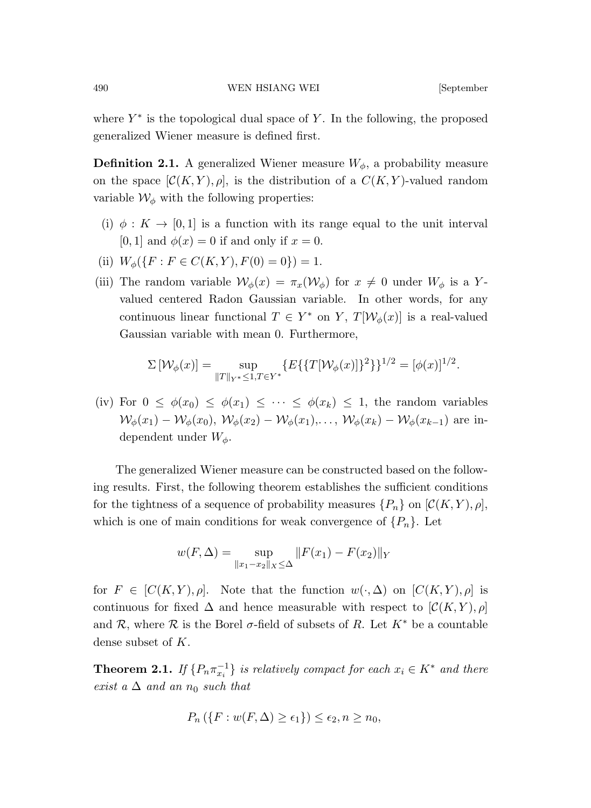where  $Y^*$  is the topological dual space of Y. In the following, the proposed generalized Wiener measure is defined first.

**Definition 2.1.** A generalized Wiener measure  $W_{\phi}$ , a probability measure on the space  $[\mathcal{C}(K, Y), \rho]$ , is the distribution of a  $C(K, Y)$ -valued random variable  $\mathcal{W}_{\phi}$  with the following properties:

- (i)  $\phi: K \to [0,1]$  is a function with its range equal to the unit interval [0, 1] and  $\phi(x) = 0$  if and only if  $x = 0$ .
- (ii)  $W_{\phi}(\{F : F \in C(K, Y), F(0) = 0\}) = 1.$
- (iii) The random variable  $\mathcal{W}_{\phi}(x) = \pi_x(\mathcal{W}_{\phi})$  for  $x \neq 0$  under  $W_{\phi}$  is a Yvalued centered Radon Gaussian variable. In other words, for any continuous linear functional  $T \in Y^*$  on  $Y$ ,  $T[\mathcal{W}_\phi(x)]$  is a real-valued Gaussian variable with mean 0. Furthermore,

$$
\Sigma[\mathcal{W}_{\phi}(x)] = \sup_{\|T\|_{Y^*} \leq 1, T \in Y^*} \{E\{\{T[\mathcal{W}_{\phi}(x)]\}^2\}\}^{1/2} = [\phi(x)]^{1/2}.
$$

(iv) For  $0 \leq \phi(x_0) \leq \phi(x_1) \leq \cdots \leq \phi(x_k) \leq 1$ , the random variables  $W_{\phi}(x_1) - \mathcal{W}_{\phi}(x_0), \ \mathcal{W}_{\phi}(x_2) - \mathcal{W}_{\phi}(x_1), \ldots, \ \mathcal{W}_{\phi}(x_k) - \mathcal{W}_{\phi}(x_{k-1})$  are independent under  $W_{\phi}$ .

The generalized Wiener measure can be constructed based on the following results. First, the following theorem establishes the sufficient conditions for the tightness of a sequence of probability measures  $\{P_n\}$  on  $[\mathcal{C}(K, Y), \rho],$ which is one of main conditions for weak convergence of  $\{P_n\}$ . Let

$$
w(F, \Delta) = \sup_{\|x_1 - x_2\|_X \le \Delta} \|F(x_1) - F(x_2)\|_Y
$$

for  $F \in [C(K, Y), \rho]$ . Note that the function  $w(\cdot, \Delta)$  on  $[C(K, Y), \rho]$  is continuous for fixed  $\Delta$  and hence measurable with respect to  $[\mathcal{C}(K, Y), \rho]$ and R, where R is the Borel  $\sigma$ -field of subsets of R. Let  $K^*$  be a countable dense subset of K.

**Theorem 2.1.** *If*  $\{P_n \pi_{x_i}^{-1}\}$  *is relatively compact for each*  $x_i \in K^*$  *and there exist a*  $\Delta$  *and an*  $n_0$  *such that* 

$$
P_n(\lbrace F:w(F,\Delta)\geq\epsilon_1\rbrace)\leq\epsilon_2,n\geq n_0,
$$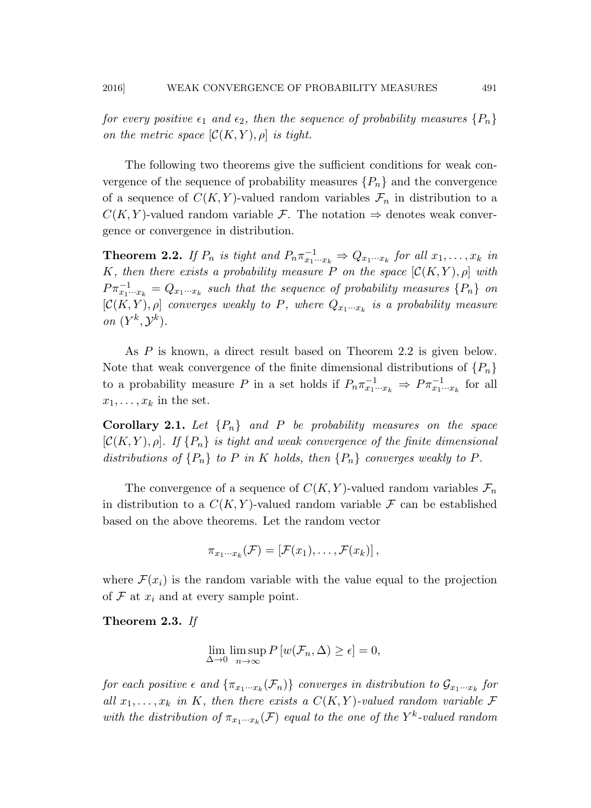*for every positive*  $\epsilon_1$  *and*  $\epsilon_2$ *, then the sequence of probability measures*  $\{P_n\}$ *on the metric space*  $[\mathcal{C}(K, Y), \rho]$  *is tight.* 

The following two theorems give the sufficient conditions for weak convergence of the sequence of probability measures  $\{P_n\}$  and the convergence of a sequence of  $C(K, Y)$ -valued random variables  $\mathcal{F}_n$  in distribution to a  $C(K, Y)$ -valued random variable F. The notation  $\Rightarrow$  denotes weak convergence or convergence in distribution.

**Theorem 2.2.** *If*  $P_n$  *is tight and*  $P_n \pi_{x_1 \cdots x_k}^{-1} \Rightarrow Q_{x_1 \cdots x_k}$  *for all*  $x_1, \ldots, x_k$  *in* K, then there exists a probability measure P on the space  $[\mathcal{C}(K, Y), \rho]$  with  $P \pi_{x_1 \cdots x_k}^{-1} = Q_{x_1 \cdots x_k}$  such that the sequence of probability measures  $\{P_n\}$  on  $[\mathcal{C}(K,Y), \rho]$  *converges weakly to P, where*  $Q_{x_1 \cdots x_k}$  *is a probability measure on*  $(Y^k, \mathcal{Y}^k)$ *.* 

As P is known, a direct result based on Theorem 2.2 is given below. Note that weak convergence of the finite dimensional distributions of  $\{P_n\}$ to a probability measure P in a set holds if  $P_n \pi_{x_1 \cdots x_k}^{-1} \Rightarrow P \pi_{x_1 \cdots x_k}^{-1}$  for all  $x_1, \ldots, x_k$  in the set.

**Corollary 2.1.** Let  $\{P_n\}$  and P be probability measures on the space  $[\mathcal{C}(K, Y), \rho]$ . If  $\{P_n\}$  is tight and weak convergence of the finite dimensional *distributions of*  $\{P_n\}$  *to* P *in* K *holds, then*  $\{P_n\}$  *converges weakly to* P.

The convergence of a sequence of  $C(K, Y)$ -valued random variables  $\mathcal{F}_n$ in distribution to a  $C(K, Y)$ -valued random variable F can be established based on the above theorems. Let the random vector

$$
\pi_{x_1\cdots x_k}(\mathcal{F})=[\mathcal{F}(x_1),\ldots,\mathcal{F}(x_k)],
$$

where  $\mathcal{F}(x_i)$  is the random variable with the value equal to the projection of  $\mathcal F$  at  $x_i$  and at every sample point.

Theorem 2.3. *If*

$$
\lim_{\Delta \to 0} \limsup_{n \to \infty} P[w(\mathcal{F}_n, \Delta) \ge \epsilon] = 0,
$$

 $for~each~positive~\epsilon~and~\{\pi_{x_1\cdots x_k}(\mathcal{F}_n)\}$  *converges in distribution to*  $\mathcal{G}_{x_1\cdots x_k}$  for *all*  $x_1, \ldots, x_k$  *in* K*, then there exists a*  $C(K, Y)$ *-valued random variable* F with the distribution of  $\pi_{x_1\cdots x_k}(\mathcal{F})$  equal to the one of the Y<sup>k</sup>-valued random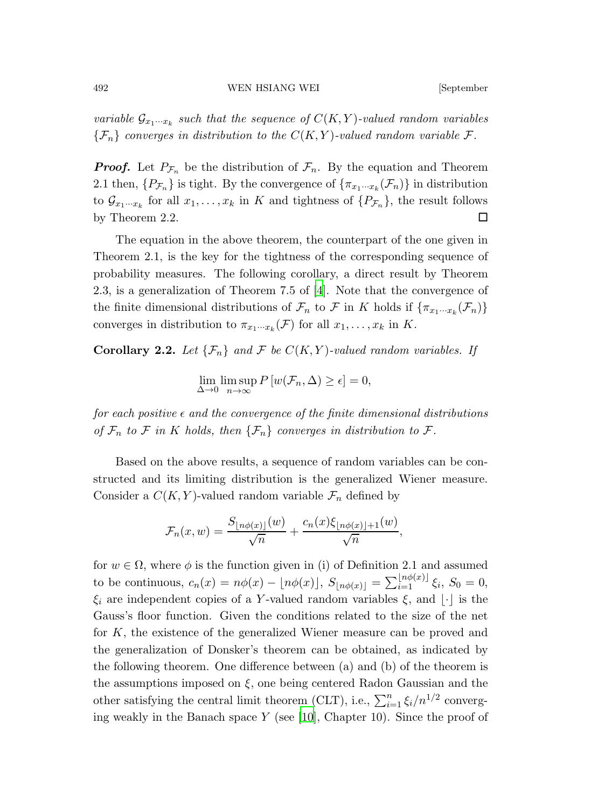*variable*  $\mathcal{G}_{x_1 \cdots x_k}$  such that the sequence of  $C(K, Y)$ -valued random variables  ${F_n}$  *converges in distribution to the*  $C(K, Y)$ *-valued random variable* F.

**Proof.** Let  $P_{\mathcal{F}_n}$  be the distribution of  $\mathcal{F}_n$ . By the equation and Theorem 2.1 then,  $\{P_{\mathcal{F}_n}\}\$ is tight. By the convergence of  $\{\pi_{x_1\cdots x_k}(\mathcal{F}_n)\}\$ in distribution to  $\mathcal{G}_{x_1\cdots x_k}$  for all  $x_1,\ldots,x_k$  in K and tightness of  $\{P_{\mathcal{F}_n}\}\)$ , the result follows by Theorem 2.2.  $\Box$ 

The equation in the above theorem, the counterpart of the one given in Theorem 2.1, is the key for the tightness of the corresponding sequence of probability measures. The following corollary, a direct result by Theorem 2.3, is a generalization of Theorem 7.5 of [\[4](#page-33-0)]. Note that the convergence of the finite dimensional distributions of  $\mathcal{F}_n$  to  $\mathcal{F}$  in K holds if  $\{\pi_{x_1\cdots x_k}(\mathcal{F}_n)\}\$ converges in distribution to  $\pi_{x_1\cdots x_k}(\mathcal{F})$  for all  $x_1,\ldots,x_k$  in K.

**Corollary 2.2.** Let  $\{\mathcal{F}_n\}$  and  $\mathcal{F}$  be  $C(K, Y)$ -valued random variables. If

$$
\lim_{\Delta \to 0} \limsup_{n \to \infty} P[w(\mathcal{F}_n, \Delta) \ge \epsilon] = 0,
$$

 $for each positive  $\epsilon$  and the convergence of the finite dimensional distributions$ *of*  $\mathcal{F}_n$  *to*  $\mathcal{F}$  *in*  $K$  *holds, then*  $\{\mathcal{F}_n\}$  *converges in distribution to*  $\mathcal{F}$ *.* 

Based on the above results, a sequence of random variables can be constructed and its limiting distribution is the generalized Wiener measure. Consider a  $C(K, Y)$ -valued random variable  $\mathcal{F}_n$  defined by

$$
\mathcal{F}_n(x, w) = \frac{S_{\lfloor n\phi(x) \rfloor}(w)}{\sqrt{n}} + \frac{c_n(x)\xi_{\lfloor n\phi(x) \rfloor + 1}(w)}{\sqrt{n}},
$$

for  $w \in \Omega$ , where  $\phi$  is the function given in (i) of Definition 2.1 and assumed to be continuous,  $c_n(x) = n\phi(x) - \lfloor n\phi(x) \rfloor$ ,  $S_{\lfloor n\phi(x) \rfloor} = \sum_{i=1}^{\lfloor n\phi(x) \rfloor} \xi_i$ ,  $S_0 = 0$ ,  $\xi_i$  are independent copies of a Y-valued random variables  $\xi$ , and  $\lfloor \cdot \rfloor$  is the Gauss's floor function. Given the conditions related to the size of the net for K, the existence of the generalized Wiener measure can be proved and the generalization of Donsker's theorem can be obtained, as indicated by the following theorem. One difference between (a) and (b) of the theorem is the assumptions imposed on  $\xi$ , one being centered Radon Gaussian and the other satisfying the central limit theorem (CLT), i.e.,  $\sum_{i=1}^{n} \xi_i/n^{1/2}$  converging weakly in the Banach space  $Y$  (see [\[10\]](#page-34-4), Chapter 10). Since the proof of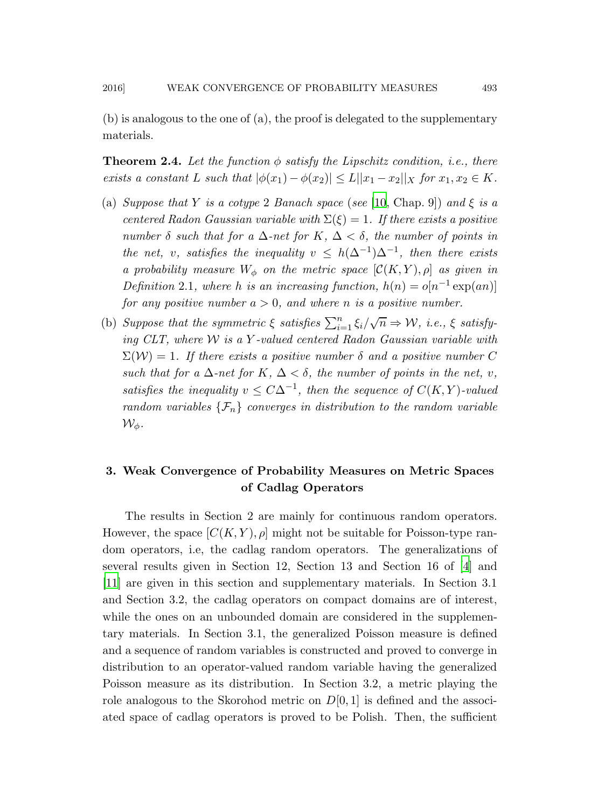(b) is analogous to the one of (a), the proof is delegated to the supplementary materials.

**Theorem 2.4.** Let the function  $\phi$  satisfy the Lipschitz condition, i.e., there *exists a constant* L *such that*  $|\phi(x_1) - \phi(x_2)| \leq L ||x_1 - x_2||$  *for*  $x_1, x_2 \in K$ *.* 

- (a) *Suppose that* Y *is a cotype* 2 *Banach space* (*see* [\[10](#page-34-4), Chap. 9]) *and*  $\xi$  *is a centered Radon Gaussian variable with*  $\Sigma(\xi) = 1$ *. If there exists a positive number*  $\delta$  *such that for a*  $\Delta$ *-net for*  $K$ *,*  $\Delta < \delta$ *, the number of points in the net, v, satisfies the inequality*  $v \leq h(\Delta^{-1})\Delta^{-1}$ , *then there exists a probability measure*  $W_{\phi}$  *on the metric space*  $[\mathcal{C}(K, Y), \rho]$  *as given in Definition* 2.1, where h *is an increasing function*,  $h(n) = o[n^{-1} \exp(an)]$ *for any positive number*  $a > 0$ *, and where n is a positive number.*
- (b) *Suppose that the symmetric*  $\xi$  *satisfies*  $\sum_{i=1}^{n} \xi_i / \sqrt{n} \Rightarrow W$ , *i.e.*,  $\xi$  *satisfying CLT, where* W *is a* Y *-valued centered Radon Gaussian variable with*  $\Sigma(\mathcal{W}) = 1$ . If there exists a positive number  $\delta$  and a positive number C *such that for a*  $\Delta$ *-net for*  $K, \Delta < \delta$ *, the number of points in the net, v, satisfies the inequality*  $v \leq C\Delta^{-1}$ , then the sequence of  $C(K, Y)$ -valued *random variables*  $\{\mathcal{F}_n\}$  *converges in distribution to the random variable*  $\mathcal{W}_\phi$ .

# 3. Weak Convergence of Probability Measures on Metric Spaces of Cadlag Operators

The results in Section 2 are mainly for continuous random operators. However, the space  $[C(K, Y), \rho]$  might not be suitable for Poisson-type random operators, i.e, the cadlag random operators. The generalizations of several results given in Section 12, Section 13 and Section 16 of [\[4\]](#page-33-0) and [\[11](#page-34-5)] are given in this section and supplementary materials. In Section 3.1 and Section 3.2, the cadlag operators on compact domains are of interest, while the ones on an unbounded domain are considered in the supplementary materials. In Section 3.1, the generalized Poisson measure is defined and a sequence of random variables is constructed and proved to converge in distribution to an operator-valued random variable having the generalized Poisson measure as its distribution. In Section 3.2, a metric playing the role analogous to the Skorohod metric on  $D[0, 1]$  is defined and the associated space of cadlag operators is proved to be Polish. Then, the sufficient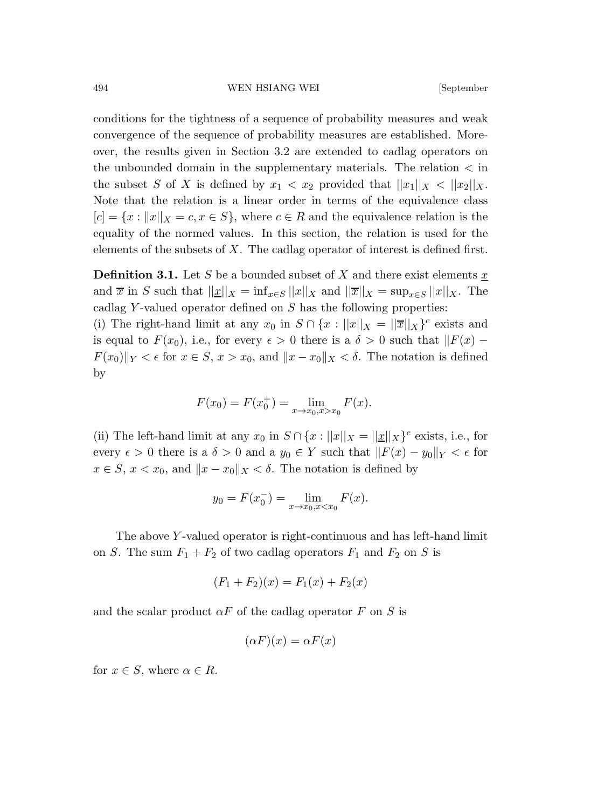conditions for the tightness of a sequence of probability measures and weak convergence of the sequence of probability measures are established. Moreover, the results given in Section 3.2 are extended to cadlag operators on the unbounded domain in the supplementary materials. The relation  $\lt$  in the subset S of X is defined by  $x_1 < x_2$  provided that  $||x_1||_X < ||x_2||_X$ . Note that the relation is a linear order in terms of the equivalence class  $[c] = \{x : ||x||_X = c, x \in S\}$ , where  $c \in R$  and the equivalence relation is the equality of the normed values. In this section, the relation is used for the elements of the subsets of  $X$ . The cadlag operator of interest is defined first.

**Definition 3.1.** Let S be a bounded subset of X and there exist elements  $x$ and  $\overline{x}$  in S such that  $||\underline{x}||_X = \inf_{x \in S} ||x||_X$  and  $||\overline{x}||_X = \sup_{x \in S} ||x||_X$ . The cadlag Y-valued operator defined on  $S$  has the following properties:

(i) The right-hand limit at any  $x_0$  in  $S \cap \{x : ||x||_X = ||\overline{x}||_X\}^c$  exists and is equal to  $F(x_0)$ , i.e., for every  $\epsilon > 0$  there is a  $\delta > 0$  such that  $\|F(x) F(x_0)$ <sub>x</sub>  $\lt \epsilon$  for  $x \in S$ ,  $x > x_0$ , and  $||x - x_0||$ <sub>x</sub>  $\lt \delta$ . The notation is defined by

$$
F(x_0) = F(x_0^+) = \lim_{x \to x_0, x > x_0} F(x).
$$

(ii) The left-hand limit at any  $x_0$  in  $S \cap \{x : ||x||_X = ||\underline{x}||_X\}^c$  exists, i.e., for every  $\epsilon > 0$  there is a  $\delta > 0$  and a  $y_0 \in Y$  such that  $||F(x) - y_0||_Y < \epsilon$  for  $x \in S$ ,  $x < x_0$ , and  $||x - x_0||_X < \delta$ . The notation is defined by

$$
y_0 = F(x_0^-) = \lim_{x \to x_0, x < x_0} F(x).
$$

The above Y -valued operator is right-continuous and has left-hand limit on S. The sum  $F_1 + F_2$  of two cadlag operators  $F_1$  and  $F_2$  on S is

$$
(F_1 + F_2)(x) = F_1(x) + F_2(x)
$$

and the scalar product  $\alpha F$  of the cadlag operator F on S is

$$
(\alpha F)(x) = \alpha F(x)
$$

for  $x \in S$ , where  $\alpha \in R$ .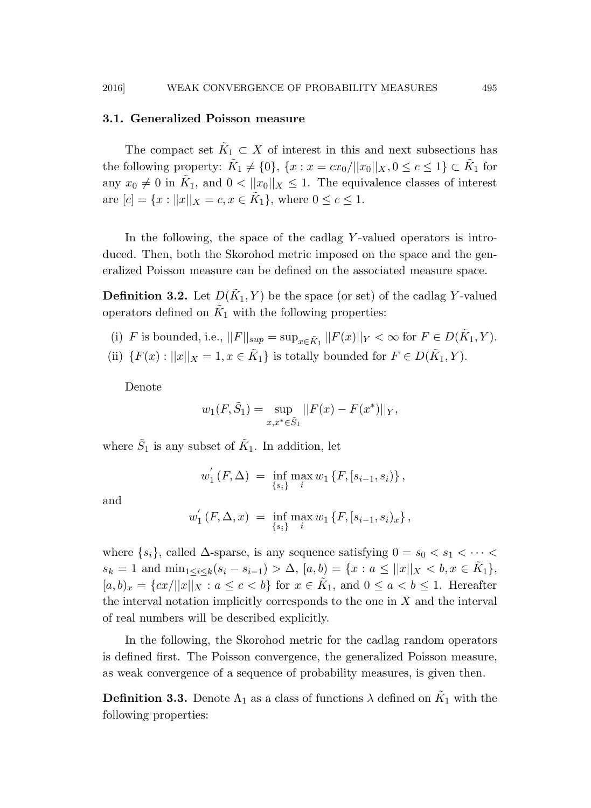#### 3.1. Generalized Poisson measure

The compact set  $\tilde{K}_1 \subset X$  of interest in this and next subsections has the following property:  $\tilde{K}_1 \neq \{0\}$ ,  $\{x : x = cx_0/||x_0||_X, 0 \le c \le 1\} \subset \tilde{K}_1$  for any  $x_0 \neq 0$  in  $\tilde{K}_1$ , and  $0 < ||x_0||_X \leq 1$ . The equivalence classes of interest are  $[c] = \{x : ||x||_X = c, x \in \tilde{K}_1\}$ , where  $0 \le c \le 1$ .

In the following, the space of the cadlag Y-valued operators is introduced. Then, both the Skorohod metric imposed on the space and the generalized Poisson measure can be defined on the associated measure space.

**Definition 3.2.** Let  $D(\tilde{K}_1, Y)$  be the space (or set) of the cadlag Y-valued operators defined on  $\tilde{K}_1$  with the following properties:

- (i) F is bounded, i.e.,  $||F||_{sup} = \sup_{x \in \tilde{K}_1} ||F(x)||_Y < \infty$  for  $F \in D(\tilde{K}_1, Y)$ .
- (ii)  $\{F(x): ||x||_X = 1, x \in \tilde{K}_1\}$  is totally bounded for  $F \in D(\tilde{K}_1, Y)$ .

Denote

$$
w_1(F, \tilde{S}_1) = \sup_{x, x^* \in \tilde{S}_1} ||F(x) - F(x^*)||_Y,
$$

where  $\tilde{S}_1$  is any subset of  $\tilde{K}_1$ . In addition, let

$$
w_1'(F,\Delta) = \inf_{\{s_i\}} \max_i w_1 \{F, [s_{i-1}, s_i)\},\,
$$

and

$$
w_1'(F, \Delta, x) = \inf_{\{s_i\}} \max_i w_1 \{F, [s_{i-1}, s_i)_x\},
$$

where  $\{s_i\}$ , called  $\Delta$ -sparse, is any sequence satisfying  $0 = s_0 < s_1 < \cdots <$  $s_k = 1$  and  $\min_{1 \leq i \leq k} (s_i - s_{i-1}) > \Delta$ ,  $[a, b] = \{x : a \leq ||x||_X < b, x \in \tilde{K}_1\},$  $[a, b)_x = \{cx/||x||_X : a \leq c < b\}$  for  $x \in \tilde{K}_1$ , and  $0 \leq a < b \leq 1$ . Hereafter the interval notation implicitly corresponds to the one in  $X$  and the interval of real numbers will be described explicitly.

In the following, the Skorohod metric for the cadlag random operators is defined first. The Poisson convergence, the generalized Poisson measure, as weak convergence of a sequence of probability measures, is given then.

**Definition 3.3.** Denote  $\Lambda_1$  as a class of functions  $\lambda$  defined on  $\tilde{K}_1$  with the following properties: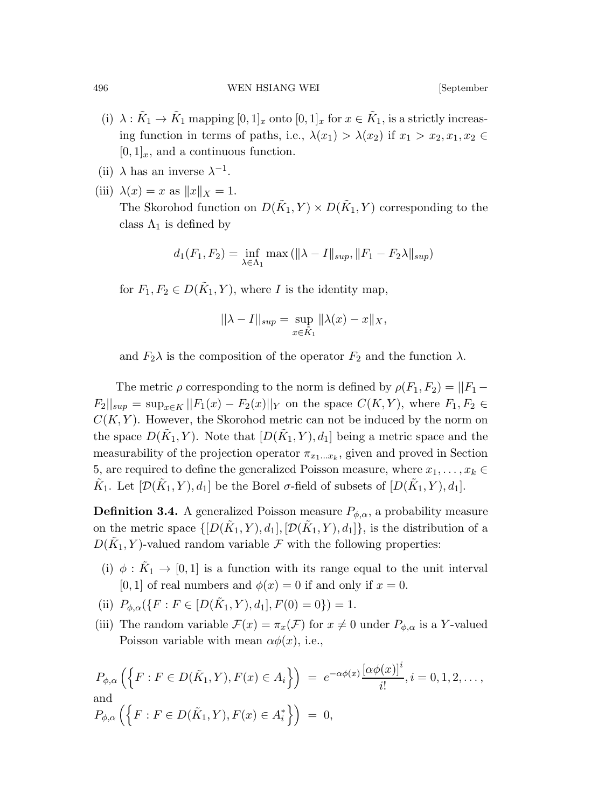- (i)  $\lambda : \tilde{K}_1 \to \tilde{K}_1$  mapping  $[0,1]_x$  onto  $[0,1]_x$  for  $x \in \tilde{K}_1$ , is a strictly increasing function in terms of paths, i.e.,  $\lambda(x_1) > \lambda(x_2)$  if  $x_1 > x_2, x_1, x_2 \in$  $[0, 1]_x$ , and a continuous function.
- (ii)  $\lambda$  has an inverse  $\lambda^{-1}$ .
- (iii)  $\lambda(x) = x$  as  $||x||_X = 1$ . The Skorohod function on  $D(\tilde{K}_1, Y) \times D(\tilde{K}_1, Y)$  corresponding to the class  $\Lambda_1$  is defined by

$$
d_1(F_1, F_2) = \inf_{\lambda \in \Lambda_1} \max \left( \| \lambda - I \|_{sup}, \| F_1 - F_2 \lambda \|_{sup} \right)
$$

for  $F_1, F_2 \in D(\tilde{K}_1, Y)$ , where I is the identity map,

$$
\|\lambda - I\|_{sup} = \sup_{x \in \tilde{K}_1} \|\lambda(x) - x\|_X,
$$

and  $F_2\lambda$  is the composition of the operator  $F_2$  and the function  $\lambda$ .

The metric  $\rho$  corresponding to the norm is defined by  $\rho(F_1, F_2) = ||F_1 ||F_2||_{sup} = \sup_{x \in K} ||F_1(x) - F_2(x)||_Y$  on the space  $C(K, Y)$ , where  $F_1, F_2 \in$  $C(K, Y)$ . However, the Skorohod metric can not be induced by the norm on the space  $D(\tilde{K}_1, Y)$ . Note that  $[D(\tilde{K}_1, Y), d_1]$  being a metric space and the measurability of the projection operator  $\pi_{x_1...x_k}$ , given and proved in Section 5, are required to define the generalized Poisson measure, where  $x_1, \ldots, x_k \in$  $\tilde{K}_1$ . Let  $[\mathcal{D}(\tilde{K}_1, Y), d_1]$  be the Borel  $\sigma$ -field of subsets of  $[D(\tilde{K}_1, Y), d_1]$ .

**Definition 3.4.** A generalized Poisson measure  $P_{\phi,\alpha}$ , a probability measure on the metric space  $\{[D(\tilde{K}_1, Y), d_1], [D(\tilde{K}_1, Y), d_1]\},$  is the distribution of a  $D(\tilde{K}_1, Y)$ -valued random variable  $\mathcal F$  with the following properties:

- (i)  $\phi$  :  $\tilde{K}_1 \rightarrow [0,1]$  is a function with its range equal to the unit interval [0, 1] of real numbers and  $\phi(x) = 0$  if and only if  $x = 0$ .
- (ii)  $P_{\phi,\alpha}(\lbrace F : F \in [D(\tilde{K}_1,Y),d_1], F(0) = 0 \rbrace) = 1.$
- (iii) The random variable  $\mathcal{F}(x) = \pi_x(\mathcal{F})$  for  $x \neq 0$  under  $P_{\phi,\alpha}$  is a Y-valued Poisson variable with mean  $\alpha\phi(x)$ , i.e.,

$$
P_{\phi,\alpha}\left(\left\{F: F \in D(\tilde{K}_1, Y), F(x) \in A_i\right\}\right) = e^{-\alpha\phi(x)} \frac{[\alpha\phi(x)]^i}{i!}, i = 0, 1, 2, \dots,
$$
  
and  

$$
P_{\phi,\alpha}\left(\left\{F: F \in D(\tilde{K}_1, Y), F(x) \in A_i^*\right\}\right) = 0,
$$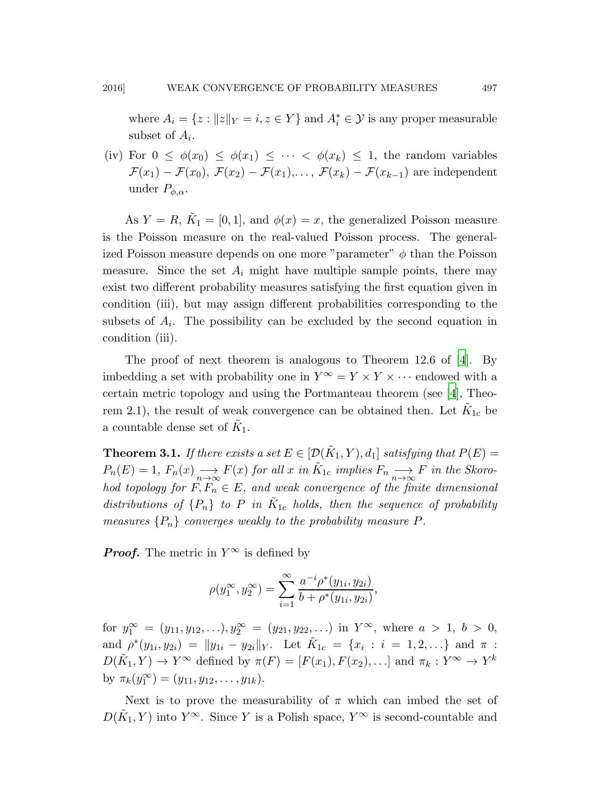where  $A_i = \{z : ||z||_Y = i, z \in Y\}$  and  $A_i^* \in \mathcal{Y}$  is any proper measurable subset of  $A_i$ .

(iv) For  $0 \leq \phi(x_0) \leq \phi(x_1) \leq \cdots \leq \phi(x_k) \leq 1$ , the random variables  $\mathcal{F}(x_1) - \mathcal{F}(x_0), \mathcal{F}(x_2) - \mathcal{F}(x_1), \ldots, \mathcal{F}(x_k) - \mathcal{F}(x_{k-1})$  are independent under  $P_{\phi,\alpha}$ .

As  $Y = R$ ,  $\tilde{K}_1 = [0, 1]$ , and  $\phi(x) = x$ , the generalized Poisson measure is the Poisson measure on the real-valued Poisson process. The generalized Poisson measure depends on one more "parameter"  $\phi$  than the Poisson measure. Since the set  $A_i$  might have multiple sample points, there may exist two different probability measures satisfying the first equation given in condition (iii), but may assign different probabilities corresponding to the subsets of  $A_i$ . The possibility can be excluded by the second equation in condition (iii).

The proof of next theorem is analogous to Theorem 12.6 of [\[4\]](#page-33-0). By imbedding a set with probability one in  $Y^{\infty} = Y \times Y \times \cdots$  endowed with a certain metric topology and using the Portmanteau theorem (see [\[4\]](#page-33-0), Theorem 2.1), the result of weak convergence can be obtained then. Let  $\tilde{K}_{1c}$  be a countable dense set of  $\tilde{K}_1$ .

**Theorem 3.1.** *If there exists a set*  $E \in [\mathcal{D}(\tilde{K}_1, Y), d_1]$  *satisfying that*  $P(E)$  =  $P_n(E) = 1$ ,  $F_n(x) \longrightarrow_{\infty} F(x)$  for all x in  $\tilde{K}_{1c}$  implies  $F_n \longrightarrow_{\infty} F$  in the Skoro*hod topology for*  $F, F_n \in E$ *, and weak convergence of the finite dimensional* distributions of  $\{P_n\}$  to P in  $\tilde{K}_{1c}$  holds, then the sequence of probability *measures*  ${P_n}$  *converges weakly to the probability measure*  $P$ *.* 

**Proof.** The metric in  $Y^{\infty}$  is defined by

$$
\rho(y_1^{\infty}, y_2^{\infty}) = \sum_{i=1}^{\infty} \frac{a^{-i} \rho^*(y_{1i}, y_{2i})}{b + \rho^*(y_{1i}, y_{2i})},
$$

for  $y_1^{\infty} = (y_{11}, y_{12}, \ldots), y_2^{\infty} = (y_{21}, y_{22}, \ldots)$  in  $Y^{\infty}$ , where  $a > 1$ ,  $b > 0$ , and  $\rho^*(y_{1i}, y_{2i}) = ||y_{1i} - y_{2i}||_Y$ . Let  $\tilde{K}_{1c} = \{x_i : i = 1, 2, ...\}$  and  $\pi$ :  $D(\tilde{K}_1, Y) \to Y^{\infty}$  defined by  $\pi(F) = [F(x_1), F(x_2), \ldots]$  and  $\pi_k : Y^{\infty} \to Y^k$ by  $\pi_k(y_1^{\infty}) = (y_{11}, y_{12}, \dots, y_{1k}).$ 

Next is to prove the measurability of  $\pi$  which can imbed the set of  $D(\tilde{K}_1, Y)$  into  $Y^{\infty}$ . Since Y is a Polish space,  $Y^{\infty}$  is second-countable and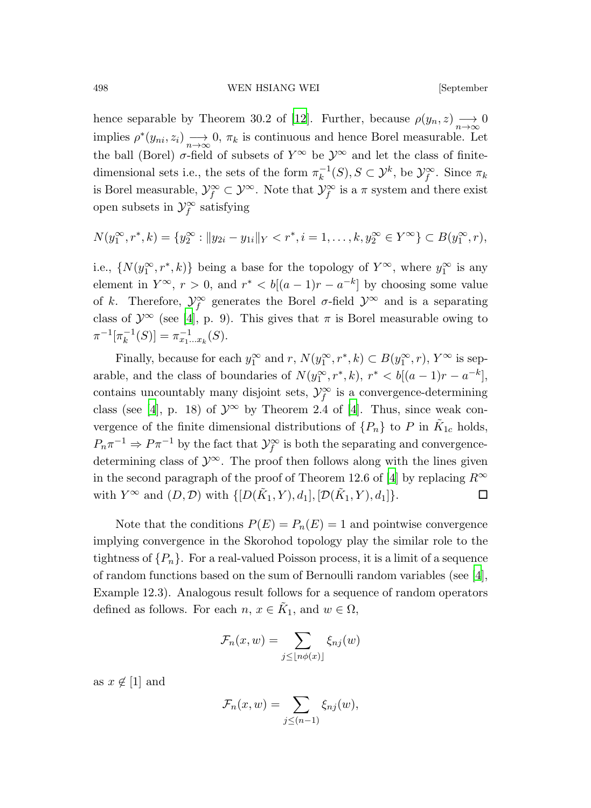hence separable by Theorem 30.2 of [\[12](#page-34-6)]. Further, because  $\rho(y_n, z) \longrightarrow_{n \to \infty} 0$ implies  $\rho^*(y_{ni}, z_i) \longrightarrow 0$ ,  $\pi_k$  is continuous and hence Borel measurable. Let the ball (Borel)  $\sigma$ -field of subsets of  $Y^{\infty}$  be  $\mathcal{Y}^{\infty}$  and let the class of finitedimensional sets i.e., the sets of the form  $\pi_k^{-1}$  $\mathcal{L}_k^{-1}(S), S \subset \mathcal{Y}^k$ , be  $\mathcal{Y}_f^{\infty}$ . Since  $\pi_k$ is Borel measurable,  $\mathcal{Y}^{\infty}_f \subset \mathcal{Y}^{\infty}$ . Note that  $\mathcal{Y}^{\infty}_f$  is a  $\pi$  system and there exist open subsets in  $\mathcal{Y}_f^{\infty}$  satisfying

$$
N(y_1^{\infty}, r^*, k) = \{y_2^{\infty} : ||y_{2i} - y_{1i}||_Y < r^*, i = 1, ..., k, y_2^{\infty} \in Y^{\infty}\} \subset B(y_1^{\infty}, r),
$$

i.e.,  $\{N(y_1^{\infty}, r^*, k)\}\$ being a base for the topology of  $Y^{\infty}$ , where  $y_1^{\infty}$  is any element in  $Y^{\infty}$ ,  $r > 0$ , and  $r^* < b[(a-1)r - a^{-k}]$  by choosing some value of k. Therefore,  $\mathcal{Y}_f^{\infty}$  generates the Borel  $\sigma$ -field  $\mathcal{Y}^{\infty}$  and is a separating class of  $\mathcal{Y}^{\infty}$  (see [\[4](#page-33-0)], p. 9). This gives that  $\pi$  is Borel measurable owing to  $\pi^{-1}[\pi_k^{-1}]$  $\overline{k}^{-1}(S)$ ] =  $\pi_{x_1...x_k}^{-1}(S)$ .

Finally, because for each  $y_1^{\infty}$  and  $r$ ,  $N(y_1^{\infty}, r^*, k) \subset B(y_1^{\infty}, r)$ ,  $Y^{\infty}$  is separable, and the class of boundaries of  $N(y_1^{\infty}, r^*, k)$ ,  $r^* < b[(a-1)r - a^{-k}]$ , contains uncountably many disjoint sets,  $\mathcal{Y}_f^{\infty}$  is a convergence-determining class (see [\[4](#page-33-0)], p. 18) of  $\mathcal{Y}^{\infty}$  by Theorem 2.4 of [4]. Thus, since weak convergence of the finite dimensional distributions of  $\{P_n\}$  to P in  $\tilde{K}_{1c}$  holds,  $P_n \pi^{-1} \Rightarrow P \pi^{-1}$  by the fact that  $\mathcal{Y}^{\infty}_f$  is both the separating and convergencedetermining class of  $\mathcal{Y}^{\infty}$ . The proof then follows along with the lines given in the second paragraph of the proof of Theorem 12.6 of [\[4\]](#page-33-0) by replacing  $R^{\infty}$ with  $Y^{\infty}$  and  $(D, \mathcal{D})$  with  $\{[D(\tilde{K}_1, Y), d_1], [\mathcal{D}(\tilde{K}_1, Y), d_1]\}.$ 

Note that the conditions  $P(E) = P_n(E) = 1$  and pointwise convergence implying convergence in the Skorohod topology play the similar role to the tightness of  $\{P_n\}$ . For a real-valued Poisson process, it is a limit of a sequence of random functions based on the sum of Bernoulli random variables (see [\[4\]](#page-33-0), Example 12.3). Analogous result follows for a sequence of random operators defined as follows. For each  $n, x \in \tilde{K}_1$ , and  $w \in \Omega$ ,

$$
\mathcal{F}_n(x,w) = \sum_{j \leq \lfloor n\phi(x) \rfloor} \xi_{nj}(w)
$$

as  $x \notin [1]$  and

$$
\mathcal{F}_n(x,w) = \sum_{j \leq (n-1)} \xi_{nj}(w),
$$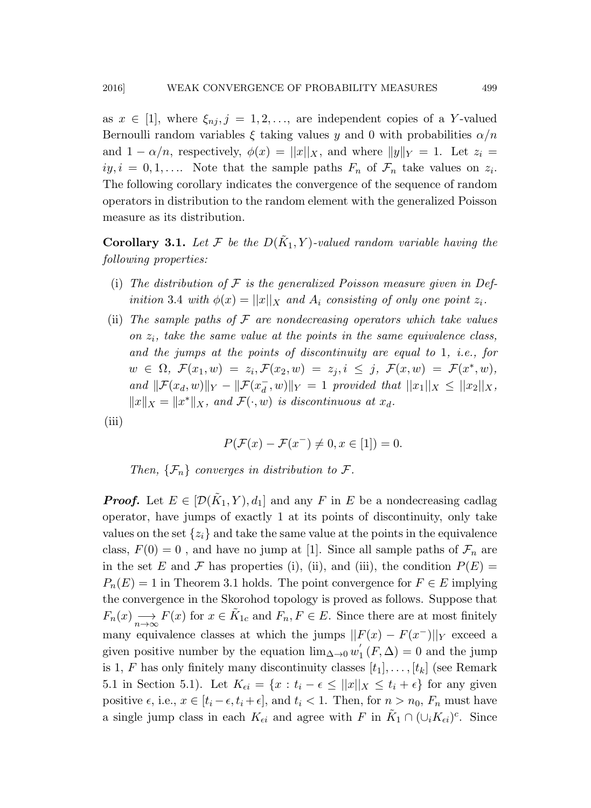as  $x \in [1]$ , where  $\xi_{ni}, j = 1, 2, \ldots$ , are independent copies of a Y-valued Bernoulli random variables  $\xi$  taking values y and 0 with probabilities  $\alpha/n$ and  $1 - \alpha/n$ , respectively,  $\phi(x) = ||x||_X$ , and where  $||y||_Y = 1$ . Let  $z_i =$  $iy, i = 0, 1, \ldots$  Note that the sample paths  $F_n$  of  $\mathcal{F}_n$  take values on  $z_i$ . The following corollary indicates the convergence of the sequence of random operators in distribution to the random element with the generalized Poisson measure as its distribution.

**Corollary 3.1.** Let  $\mathcal{F}$  be the  $D(\tilde{K}_1, Y)$ -valued random variable having the *following properties:*

- (i) *The distribution of* F *is the generalized Poisson measure given in Definition* 3.4 *with*  $\phi(x) = ||x||_X$  *and*  $A_i$  *consisting of only one point*  $z_i$ *.*
- (ii) *The sample paths of* F *are nondecreasing operators which take values on* z<sup>i</sup> *, take the same value at the points in the same equivalence class, and the jumps at the points of discontinuity are equal to* 1*, i.e., for*  $w \in \Omega, \ \mathcal{F}(x_1, w) = z_i, \mathcal{F}(x_2, w) = z_j, i \leq j, \ \mathcal{F}(x, w) = \mathcal{F}(x^*, w),$ *and*  $\|\mathcal{F}(x_d, w)\|_Y - \|\mathcal{F}(x_d)$  $\int_{d}^{T}$ , w)|| $Y = 1$  *provided that*  $||x_1||_X \leq ||x_2||_X$ ,  $||x||_X = ||x^*||_X$ , and  $\mathcal{F}(\cdot, w)$  *is discontinuous at*  $x_d$ .
- (iii)

$$
P(\mathcal{F}(x) - \mathcal{F}(x^-) \neq 0, x \in [1]) = 0.
$$

*Then,*  $\{\mathcal{F}_n\}$  *converges in distribution to*  $\mathcal{F}$ *.* 

**Proof.** Let  $E \in [\mathcal{D}(\tilde{K}_1, Y), d_1]$  and any F in E be a nondecreasing cadlag operator, have jumps of exactly 1 at its points of discontinuity, only take values on the set  $\{z_i\}$  and take the same value at the points in the equivalence class,  $F(0) = 0$ , and have no jump at [1]. Since all sample paths of  $\mathcal{F}_n$  are in the set E and F has properties (i), (ii), and (iii), the condition  $P(E)$  =  $P_n(E) = 1$  in Theorem 3.1 holds. The point convergence for  $F \in E$  implying the convergence in the Skorohod topology is proved as follows. Suppose that  $F_n(x) \longrightarrow_{n \to \infty} F(x)$  for  $x \in \tilde{K}_{1c}$  and  $F_n, F \in E$ . Since there are at most finitely many equivalence classes at which the jumps  $||F(x) - F(x^-)||_Y$  exceed a given positive number by the equation  $\lim_{\Delta\to 0} w_1$  $f_1(F, \Delta) = 0$  and the jump is 1, F has only finitely many discontinuity classes  $[t_1], \ldots, [t_k]$  (see Remark 5.1 in Section 5.1). Let  $K_{\epsilon i} = \{x : t_i - \epsilon \leq ||x||_X \leq t_i + \epsilon\}$  for any given positive  $\epsilon$ , i.e.,  $x \in [t_i - \epsilon, t_i + \epsilon]$ , and  $t_i < 1$ . Then, for  $n > n_0$ ,  $F_n$  must have a single jump class in each  $K_{\epsilon i}$  and agree with F in  $\tilde{K}_1 \cap (\cup_i K_{\epsilon i})^c$ . Since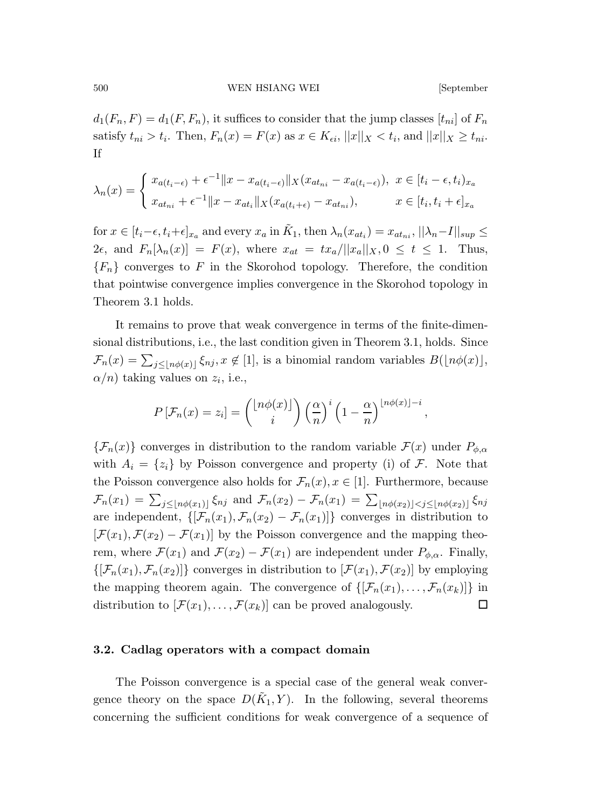$d_1(F_n, F) = d_1(F, F_n)$ , it suffices to consider that the jump classes  $[t_{ni}]$  of  $F_n$ satisfy  $t_{ni} > t_i$ . Then,  $F_n(x) = F(x)$  as  $x \in K_{\epsilon i}$ ,  $||x||_X < t_i$ , and  $||x||_X \ge t_{ni}$ . If

$$
\lambda_n(x) = \begin{cases} x_{a(t_i - \epsilon)} + \epsilon^{-1} \|x - x_{a(t_i - \epsilon)}\|_X (x_{at_{ni}} - x_{a(t_i - \epsilon)}), & x \in [t_i - \epsilon, t_i)_{x_a} \\ x_{at_{ni}} + \epsilon^{-1} \|x - x_{at_i}\|_X (x_{a(t_i + \epsilon)} - x_{at_{ni}}), & x \in [t_i, t_i + \epsilon]_{x_a} \end{cases}
$$

for  $x \in [t_i - \epsilon, t_i + \epsilon]_{x_a}$  and every  $x_a$  in  $\tilde{K}_1$ , then  $\lambda_n(x_{at_i}) = x_{at_{ni}}, ||\lambda_n - I||_{sup} \le$  $2\epsilon$ , and  $F_n[\lambda_n(x)] = F(x)$ , where  $x_{at} = tx_a/||x_a||_X$ ,  $0 \le t \le 1$ . Thus,  ${F_n}$  converges to F in the Skorohod topology. Therefore, the condition that pointwise convergence implies convergence in the Skorohod topology in Theorem 3.1 holds.

It remains to prove that weak convergence in terms of the finite-dimensional distributions, i.e., the last condition given in Theorem 3.1, holds. Since  $\mathcal{F}_n(x) = \sum_{j \leq \lfloor n\phi(x) \rfloor} \xi_{nj}, x \notin [1]$ , is a binomial random variables  $B(\lfloor n\phi(x) \rfloor,$  $\alpha/n$ ) taking values on  $z_i$ , i.e.,

$$
P\left[\mathcal{F}_n(x) = z_i\right] = \binom{\lfloor n\phi(x)\rfloor}{i} \left(\frac{\alpha}{n}\right)^i \left(1 - \frac{\alpha}{n}\right)^{\lfloor n\phi(x)\rfloor - i},
$$

 ${\mathcal{F}}_n(x)$  converges in distribution to the random variable  ${\mathcal{F}}(x)$  under  $P_{\phi,\alpha}$ with  $A_i = \{z_i\}$  by Poisson convergence and property (i) of F. Note that the Poisson convergence also holds for  $\mathcal{F}_n(x), x \in [1]$ . Furthermore, because  $\mathcal{F}_n(x_1) = \sum_{j \leq \lfloor n\phi(x_1) \rfloor} \xi_{nj}$  and  $\mathcal{F}_n(x_2) - \mathcal{F}_n(x_1) = \sum_{\lfloor n\phi(x_2) \rfloor} \zeta_{j \leq \lfloor n\phi(x_2) \rfloor} \xi_{nj}$ are independent,  $\{[\mathcal{F}_n(x_1), \mathcal{F}_n(x_2) - \mathcal{F}_n(x_1)]\}$  converges in distribution to  $[\mathcal{F}(x_1), \mathcal{F}(x_2) - \mathcal{F}(x_1)]$  by the Poisson convergence and the mapping theorem, where  $\mathcal{F}(x_1)$  and  $\mathcal{F}(x_2) - \mathcal{F}(x_1)$  are independent under  $P_{\phi,\alpha}$ . Finally,  $\{[\mathcal{F}_n(x_1), \mathcal{F}_n(x_2)]\}$  converges in distribution to  $[\mathcal{F}(x_1), \mathcal{F}(x_2)]$  by employing the mapping theorem again. The convergence of  $\{[\mathcal{F}_n(x_1), \ldots, \mathcal{F}_n(x_k)]\}$  in distribution to  $[\mathcal{F}(x_1), \ldots, \mathcal{F}(x_k)]$  can be proved analogously.

#### 3.2. Cadlag operators with a compact domain

The Poisson convergence is a special case of the general weak convergence theory on the space  $D(\tilde{K}_1, Y)$ . In the following, several theorems concerning the sufficient conditions for weak convergence of a sequence of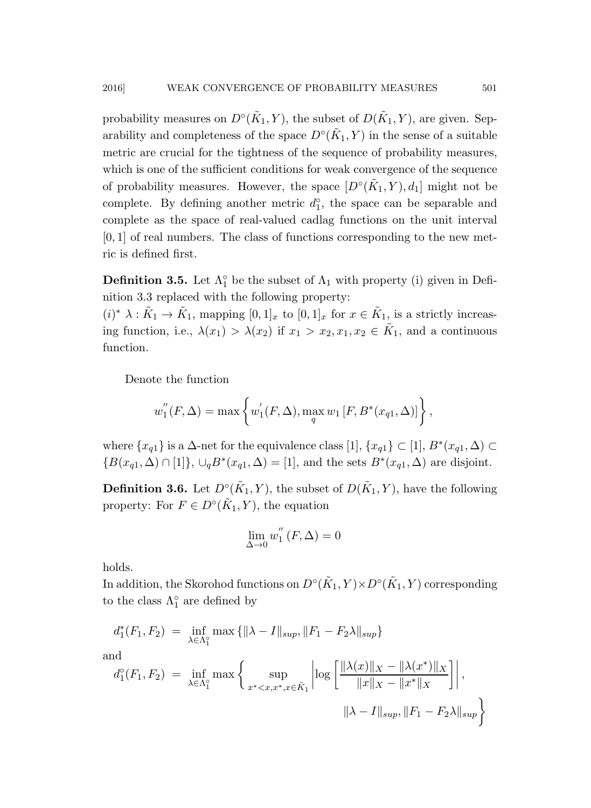probability measures on  $D^{\circ}(\tilde{K}_1, Y)$ , the subset of  $D(\tilde{K}_1, Y)$ , are given. Separability and completeness of the space  $D^{\circ}(\tilde{K}_1, Y)$  in the sense of a suitable metric are crucial for the tightness of the sequence of probability measures, which is one of the sufficient conditions for weak convergence of the sequence of probability measures. However, the space  $[D<sup>\circ</sup>(\tilde{K}_1, Y), d_1]$  might not be complete. By defining another metric  $d_1^{\circ}$ , the space can be separable and complete as the space of real-valued cadlag functions on the unit interval  $[0, 1]$  of real numbers. The class of functions corresponding to the new metric is defined first.

**Definition 3.5.** Let  $\Lambda_1^{\circ}$  be the subset of  $\Lambda_1$  with property (i) given in Definition 3.3 replaced with the following property:

 $(i)^* \lambda : \tilde{K}_1 \to \tilde{K}_1$ , mapping  $[0,1]_x$  to  $[0,1]_x$  for  $x \in \tilde{K}_1$ , is a strictly increasing function, i.e.,  $\lambda(x_1) > \lambda(x_2)$  if  $x_1 > x_2, x_1, x_2 \in \tilde{K}_1$ , and a continuous function.

Denote the function

$$
w''_1(F, \Delta) = \max \left\{ w'_1(F, \Delta), \max_{q} w_1 [F, B^*(x_{q1}, \Delta)] \right\},\,
$$

where  $\{x_{q1}\}\$ is a  $\Delta$ -net for the equivalence class [1],  $\{x_{q1}\}\subset [1], B^*(x_{q1}, \Delta) \subset$  ${B(x_{q1}, \Delta) \cap [1]}, \cup_{q} B^*(x_{q1}, \Delta) = [1]$ , and the sets  $B^*(x_{q1}, \Delta)$  are disjoint.

**Definition 3.6.** Let  $D^{\circ}(\tilde{K}_1, Y)$ , the subset of  $D(\tilde{K}_1, Y)$ , have the following property: For  $F \in D^{\circ}(\tilde{K}_1, Y)$ , the equation

$$
\lim_{\Delta \to 0} w_1''(F, \Delta) = 0
$$

holds.

In addition, the Skorohod functions on  $D^{\circ}(\tilde{K}_1, Y) \times D^{\circ}(\tilde{K}_1, Y)$  corresponding to the class  $\Lambda_1^{\circ}$  are defined by

$$
d_1^*(F_1, F_2) = \inf_{\lambda \in \Lambda_1^{\circ}} \max \{ ||\lambda - I||_{sup}, ||F_1 - F_2 \lambda||_{sup} \}
$$
  
and  

$$
d_1^{\circ}(F_1, F_2) = \inf_{\lambda \in \Lambda_1^{\circ}} \max \left\{ \sup_{x^* < x, x^*, x \in \tilde{K}_1} \left| \log \left[ \frac{||\lambda(x)||_X - ||\lambda(x^*)||_X}{||x||_X - ||x^*||_X} \right] \right|,
$$
  

$$
||\lambda - I||_{sup}, ||F_1 - F_2 \lambda||_{sup} \}
$$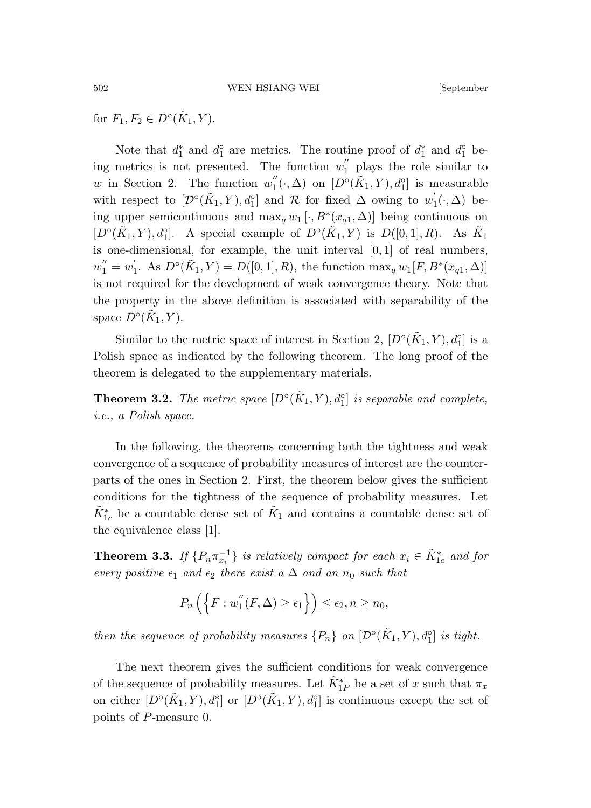for  $F_1, F_2 \in D^{\circ}(\tilde{K}_1, Y)$ .

Note that  $d_1^*$  and  $d_1^{\circ}$  are metrics. The routine proof of  $d_1^*$  and  $d_1^{\circ}$  being metrics is not presented. The function  $w''_1$  plays the role similar to w in Section 2. The function  $w_1^{''}$  $\binom{n}{1}(\cdot,\Delta)$  on  $[D^{\circ}(\tilde{K}_1,Y),d_1^{\circ}]$  is measurable with respect to  $[\mathcal{D}^{\circ}(\tilde{K}_1, Y), d_1^{\circ}]$  and  $\mathcal{R}$  for fixed  $\Delta$  owing to  $w'_1$  $h_1(\cdot, \Delta)$  being upper semicontinuous and  $\max_{q} w_1 [\cdot, B^*(x_{q1}, \Delta)]$  being continuous on  $[D<sup>\circ</sup>(\tilde{K}_1, Y), d<sub>1</sub><sup>\circ</sup>].$  A special example of  $D<sup>\circ</sup>(\tilde{K}_1, Y)$  is  $D([0, 1], R)$ . As  $\tilde{K}_1$ is one-dimensional, for example, the unit interval  $[0, 1]$  of real numbers,  $w_1'' = w_1'$  $I_1'$ . As  $D^{\circ}(\tilde{K}_1, Y) = D([0, 1], R)$ , the function  $\max_q w_1[F, B^*(x_{q1}, \Delta)]$ is not required for the development of weak convergence theory. Note that the property in the above definition is associated with separability of the space  $D^{\circ}(\tilde{K}_1, Y)$ .

Similar to the metric space of interest in Section 2,  $[D<sup>o</sup>(\tilde{K}_1, Y), d_1^o]$  is a Polish space as indicated by the following theorem. The long proof of the theorem is delegated to the supplementary materials.

**Theorem 3.2.** *The metric space*  $[D<sup>\circ</sup>(\tilde{K}_1, Y), d<sup>\circ</sup>_{1}]$  *is separable and complete, i.e., a Polish space.*

In the following, the theorems concerning both the tightness and weak convergence of a sequence of probability measures of interest are the counterparts of the ones in Section 2. First, the theorem below gives the sufficient conditions for the tightness of the sequence of probability measures. Let  $\tilde{K}_{1c}^{*}$  be a countable dense set of  $\tilde{K}_{1}$  and contains a countable dense set of the equivalence class [1].

**Theorem 3.3.** *If*  $\{P_n \pi_{x_i}^{-1}\}$  *is relatively compact for each*  $x_i \in \tilde{K}_{1c}^*$  *and for every positive*  $\epsilon_1$  *and*  $\epsilon_2$  *there exist* a  $\Delta$  *and an*  $n_0$  *such that* 

$$
P_n\left(\left\{F:w_1''(F,\Delta)\geq\epsilon_1\right\}\right)\leq\epsilon_2, n\geq n_0,
$$

*then the sequence of probability measures*  $\{P_n\}$  *on*  $[\mathcal{D}^\circ(\tilde{K}_1, Y), d_1^\circ]$  *is tight.* 

The next theorem gives the sufficient conditions for weak convergence of the sequence of probability measures. Let  $\tilde{K}_{1P}^*$  be a set of x such that  $\pi_x$ on either  $[D\circ(\tilde{K}_1, Y), d_1^*]$  or  $[D\circ(\tilde{K}_1, Y), d_1^*]$  is continuous except the set of points of P-measure 0.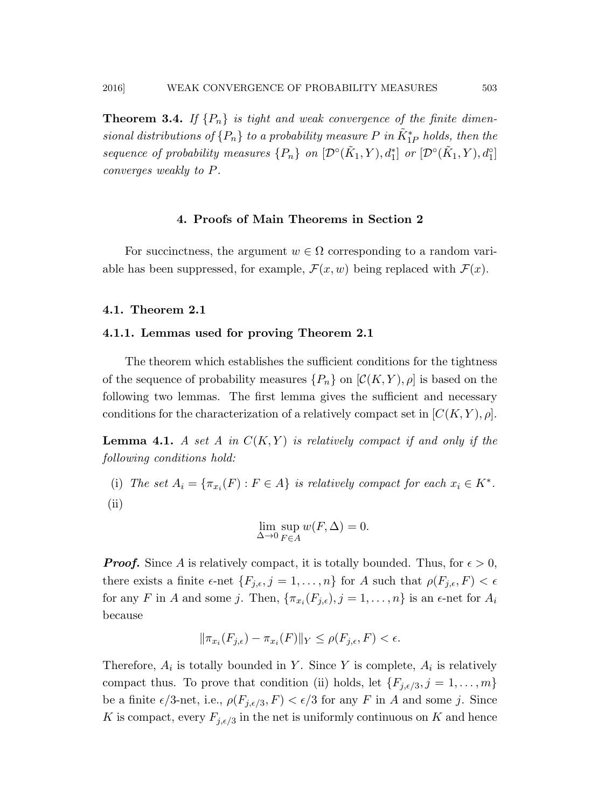**Theorem 3.4.** If  $\{P_n\}$  is tight and weak convergence of the finite dimen*sional distributions of*  $\{P_n\}$  *to a probability measure*  $P$  *in*  $K^*_{1P}$  *holds, then the sequence of probability measures*  $\{P_n\}$  *on*  $[\mathcal{D}^\circ(\tilde{K}_1, Y), d_1^*]$  *or*  $[\mathcal{D}^\circ(\tilde{K}_1, Y), d_1^*]$ *converges weakly to* P*.*

### 4. Proofs of Main Theorems in Section 2

For succinctness, the argument  $w \in \Omega$  corresponding to a random variable has been suppressed, for example,  $\mathcal{F}(x, w)$  being replaced with  $\mathcal{F}(x)$ .

### 4.1. Theorem 2.1

#### 4.1.1. Lemmas used for proving Theorem 2.1

The theorem which establishes the sufficient conditions for the tightness of the sequence of probability measures  $\{P_n\}$  on  $\mathcal{C}(K, Y), \rho$  is based on the following two lemmas. The first lemma gives the sufficient and necessary conditions for the characterization of a relatively compact set in  $[C(K, Y), \rho]$ .

**Lemma 4.1.** A set A in  $C(K, Y)$  is relatively compact if and only if the *following conditions hold:*

(i) The set  $A_i = \{\pi_{x_i}(F) : F \in A\}$  *is relatively compact for each*  $x_i \in K^*$ . (ii)

$$
\lim_{\Delta \to 0} \sup_{F \in A} w(F, \Delta) = 0.
$$

**Proof.** Since A is relatively compact, it is totally bounded. Thus, for  $\epsilon > 0$ , there exists a finite  $\epsilon$ -net  $\{F_{j,\epsilon}, j = 1, \ldots, n\}$  for A such that  $\rho(F_{j,\epsilon}, F) < \epsilon$ for any F in A and some j. Then,  $\{\pi_{x_i}(F_{j,\epsilon}), j=1,\ldots,n\}$  is an  $\epsilon$ -net for  $A_i$ because

$$
\|\pi_{x_i}(F_{j,\epsilon}) - \pi_{x_i}(F)\|_Y \le \rho(F_{j,\epsilon}, F) < \epsilon.
$$

Therefore,  $A_i$  is totally bounded in Y. Since Y is complete,  $A_i$  is relatively compact thus. To prove that condition (ii) holds, let  $\{F_{j,\epsilon/3}, j = 1, \ldots, m\}$ be a finite  $\epsilon/3$ -net, i.e.,  $\rho(F_{j,\epsilon/3}, F) < \epsilon/3$  for any F in A and some j. Since K is compact, every  $F_{j, \epsilon/3}$  in the net is uniformly continuous on K and hence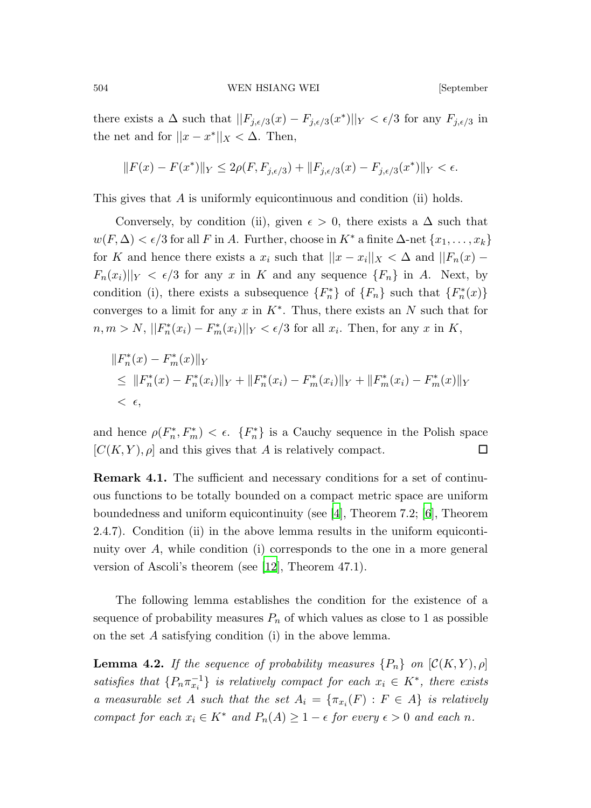there exists a  $\Delta$  such that  $||F_{j,\epsilon/3}(x) - F_{j,\epsilon/3}(x^*)||_Y < \epsilon/3$  for any  $F_{j,\epsilon/3}$  in the net and for  $||x - x^*||_X < \Delta$ . Then,

$$
||F(x) - F(x^*)||_Y \le 2\rho(F, F_{j, \epsilon/3}) + ||F_{j, \epsilon/3}(x) - F_{j, \epsilon/3}(x^*)||_Y < \epsilon.
$$

This gives that A is uniformly equicontinuous and condition (ii) holds.

Conversely, by condition (ii), given  $\epsilon > 0$ , there exists a  $\Delta$  such that  $w(F, \Delta) < \epsilon/3$  for all F in A. Further, choose in K<sup>\*</sup> a finite  $\Delta$ -net  $\{x_1, \ldots, x_k\}$ for K and hence there exists a  $x_i$  such that  $||x - x_i||_X < \Delta$  and  $||F_n(x) F_n(x_i) \vert \vert_Y \vert < \epsilon/3$  for any x in K and any sequence  $\{F_n\}$  in A. Next, by condition (i), there exists a subsequence  $\{F_n^*\}$  of  $\{F_n\}$  such that  $\{F_n^*(x)\}$ converges to a limit for any  $x$  in  $K^*$ . Thus, there exists an  $N$  such that for  $n, m > N$ ,  $||F_n^*(x_i) - F_m^*(x_i)||_Y < \epsilon/3$  for all  $x_i$ . Then, for any  $x$  in  $K$ ,

$$
||F_n^*(x) - F_m^*(x)||_Y
$$
  
\n
$$
\leq ||F_n^*(x) - F_n^*(x_i)||_Y + ||F_n^*(x_i) - F_m^*(x_i)||_Y + ||F_m^*(x_i) - F_m^*(x)||_Y
$$
  
\n
$$
< \epsilon,
$$

and hence  $\rho(F_n^*, F_m^*) < \epsilon$ .  $\{F_n^*\}$  is a Cauchy sequence in the Polish space  $[C(K, Y), \rho]$  and this gives that A is relatively compact.

Remark 4.1. The sufficient and necessary conditions for a set of continuous functions to be totally bounded on a compact metric space are uniform boundedness and uniform equicontinuity (see [\[4\]](#page-33-0), Theorem 7.2; [\[6](#page-33-7)], Theorem 2.4.7). Condition (ii) in the above lemma results in the uniform equicontinuity over  $A$ , while condition (i) corresponds to the one in a more general version of Ascoli's theorem (see [\[12](#page-34-6)], Theorem 47.1).

The following lemma establishes the condition for the existence of a sequence of probability measures  $P_n$  of which values as close to 1 as possible on the set A satisfying condition (i) in the above lemma.

**Lemma 4.2.** *If the sequence of probability measures*  ${P_n}$  *on*  $(C(K, Y), \rho)$ *satisfies that*  $\{P_n \pi_{x_i}^{-1}\}$  *is relatively compact for each*  $x_i \in K^*$ *, there exists a* measurable set A such that the set  $A_i = {\pi_{x_i}(F) : F \in A}$  is relatively *compact for each*  $x_i \in K^*$  *and*  $P_n(A) \geq 1 - \epsilon$  *for every*  $\epsilon > 0$  *and each n*.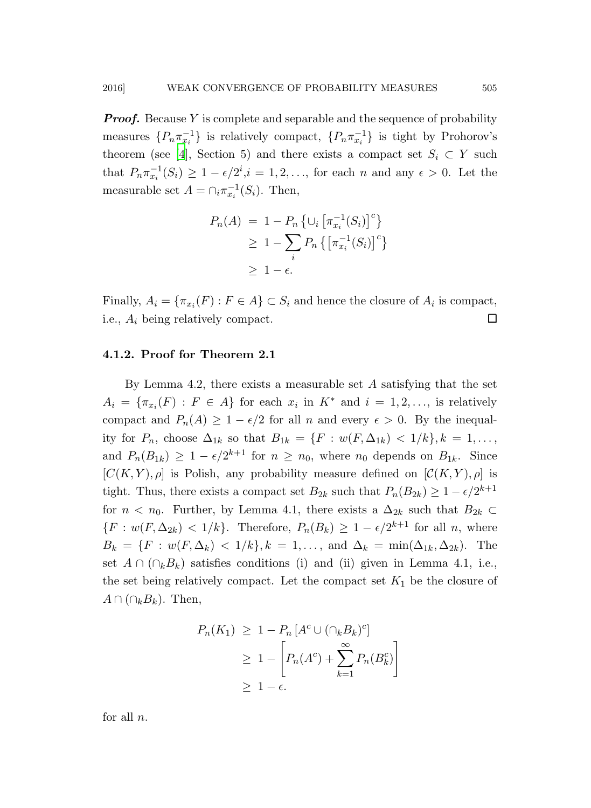**Proof.** Because Y is complete and separable and the sequence of probability measures  $\{P_n \pi_{x_i}^{-1}\}$  is relatively compact,  $\{P_n \pi_{x_i}^{-1}\}$  is tight by Prohorov's theorem (see [\[4\]](#page-33-0), Section 5) and there exists a compact set  $S_i \subset Y$  such that  $P_n \pi_{x_i}^{-1}(S_i) \geq 1 - \epsilon/2^i, i = 1, 2, \ldots$ , for each *n* and any  $\epsilon > 0$ . Let the measurable set  $A = \bigcap_i \pi_{x_i}^{-1}(S_i)$ . Then,

$$
P_n(A) = 1 - P_n \left\{ \cup_i \left[ \pi_{x_i}^{-1}(S_i) \right]^c \right\}
$$
  
\n
$$
\geq 1 - \sum_i P_n \left\{ \left[ \pi_{x_i}^{-1}(S_i) \right]^c \right\}
$$
  
\n
$$
\geq 1 - \epsilon.
$$

Finally,  $A_i = \{ \pi_{x_i}(F) : F \in A \} \subset S_i$  and hence the closure of  $A_i$  is compact, i.e.,  $A_i$  being relatively compact.  $\Box$ 

### 4.1.2. Proof for Theorem 2.1

By Lemma 4.2, there exists a measurable set A satisfying that the set  $A_i = \{\pi_{x_i}(F) : F \in A\}$  for each  $x_i$  in  $K^*$  and  $i = 1, 2, \ldots$ , is relatively compact and  $P_n(A) \geq 1 - \epsilon/2$  for all n and every  $\epsilon > 0$ . By the inequality for  $P_n$ , choose  $\Delta_{1k}$  so that  $B_{1k} = \{F : w(F, \Delta_{1k}) < 1/k\}, k = 1, \ldots,$ and  $P_n(B_{1k}) \geq 1 - \epsilon/2^{k+1}$  for  $n \geq n_0$ , where  $n_0$  depends on  $B_{1k}$ . Since  $[C(K, Y), \rho]$  is Polish, any probability measure defined on  $[C(K, Y), \rho]$  is tight. Thus, there exists a compact set  $B_{2k}$  such that  $P_n(B_{2k}) \geq 1 - \epsilon/2^{k+1}$ for  $n < n_0$ . Further, by Lemma 4.1, there exists a  $\Delta_{2k}$  such that  $B_{2k} \subset$  $\{F : w(F, \Delta_{2k}) < 1/k\}$ . Therefore,  $P_n(B_k) \geq 1 - \epsilon/2^{k+1}$  for all n, where  $B_k = \{F : w(F, \Delta_k) < 1/k\}, k = 1, \ldots, \text{ and } \Delta_k = \min(\Delta_{1k}, \Delta_{2k}).$  The set  $A \cap (\bigcap_k B_k)$  satisfies conditions (i) and (ii) given in Lemma 4.1, i.e., the set being relatively compact. Let the compact set  $K_1$  be the closure of  $A \cap (\cap_k B_k)$ . Then,

$$
P_n(K_1) \ge 1 - P_n [A^c \cup (\cap_k B_k)^c]
$$
  
\n
$$
\ge 1 - \left[ P_n(A^c) + \sum_{k=1}^{\infty} P_n(B_k^c) \right]
$$
  
\n
$$
\ge 1 - \epsilon.
$$

for all  $n$ .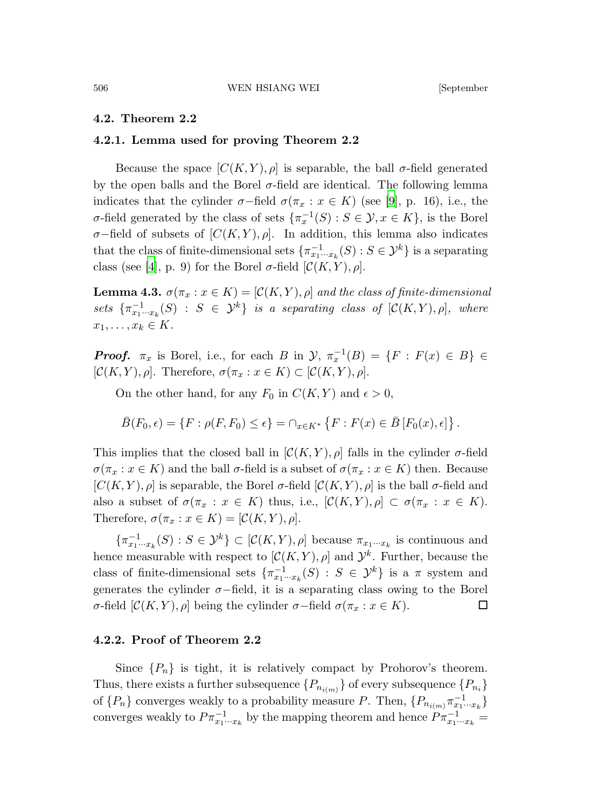#### 4.2. Theorem 2.2

### 4.2.1. Lemma used for proving Theorem 2.2

Because the space  $[C(K, Y), \rho]$  is separable, the ball  $\sigma$ -field generated by the open balls and the Borel  $\sigma$ -field are identical. The following lemma indicates that the cylinder  $\sigma$ -field  $\sigma(\pi_x : x \in K)$  (see [\[9](#page-33-8)], p. 16), i.e., the σ-field generated by the class of sets  $\{\pi_x^{-1}(S) : S \in \mathcal{Y}, x \in K\}$ , is the Borel  $\sigma$ −field of subsets of  $[C(K, Y), \rho]$ . In addition, this lemma also indicates that the class of finite-dimensional sets  $\{\pi_{x_1\cdots x_k}^{-1}(S) : S \in \mathcal{Y}^k\}$  is a separating class (see [\[4](#page-33-0)], p. 9) for the Borel  $\sigma$ -field  $[\mathcal{C}(K, Y), \rho]$ .

**Lemma 4.3.**  $\sigma(\pi_x : x \in K) = [\mathcal{C}(K, Y), \rho]$  *and the class of finite-dimensional*  $sets \ \{\pi_{x_1\cdots x_k}^{-1}(S) \ : \ S \ \in \ \mathcal{Y}^k\} \ \ is \ \ a \ \ separating \ \ class \ \ of \ \ [\mathcal{C}(K,Y),\rho], \ \ where$  $x_1, \ldots, x_k \in K$ .

**Proof.**  $\pi_x$  is Borel, i.e., for each B in  $\mathcal{Y}, \pi_x^{-1}(B) = \{F : F(x) \in B\} \in$  $[\mathcal{C}(K, Y), \rho]$ . Therefore,  $\sigma(\pi_x : x \in K) \subset [\mathcal{C}(K, Y), \rho]$ .

On the other hand, for any  $F_0$  in  $C(K, Y)$  and  $\epsilon > 0$ ,

$$
\bar{B}(F_0,\epsilon) = \{F : \rho(F,F_0) \leq \epsilon\} = \cap_{x \in K^*} \left\{F : F(x) \in \bar{B}[F_0(x),\epsilon]\right\}.
$$

This implies that the closed ball in  $[\mathcal{C}(K, Y), \rho]$  falls in the cylinder  $\sigma$ -field  $\sigma(\pi_x : x \in K)$  and the ball  $\sigma$ -field is a subset of  $\sigma(\pi_x : x \in K)$  then. Because  $[C(K, Y), \rho]$  is separable, the Borel  $\sigma$ -field  $[C(K, Y), \rho]$  is the ball  $\sigma$ -field and also a subset of  $\sigma(\pi_x : x \in K)$  thus, i.e.,  $[\mathcal{C}(K, Y), \rho] \subset \sigma(\pi_x : x \in K)$ . Therefore,  $\sigma(\pi_x : x \in K) = [\mathcal{C}(K, Y), \rho].$ 

 $\{\pi_{x_1\cdots x_k}^{-1}(S): S \in \mathcal{Y}^k\} \subset [\mathcal{C}(K,Y), \rho]$  because  $\pi_{x_1\cdots x_k}$  is continuous and hence measurable with respect to  $[\mathcal{C}(K, Y), \rho]$  and  $\mathcal{Y}^k$ . Further, because the class of finite-dimensional sets  $\{\pi_{x_1\cdots x_k}^{-1}(S) : S \in \mathcal{Y}^k\}$  is a  $\pi$  system and generates the cylinder  $\sigma$ -field, it is a separating class owing to the Borel  $\sigma$ -field [ $\mathcal{C}(K, Y), \rho$ ] being the cylinder  $\sigma$ -field  $\sigma(\pi_x : x \in K)$ . □

# 4.2.2. Proof of Theorem 2.2

Since  $\{P_n\}$  is tight, it is relatively compact by Prohorov's theorem. Thus, there exists a further subsequence  $\{P_{n_{i(m)}}\}$  of every subsequence  $\{P_{n_{i}}\}$ of  $\{P_n\}$  converges weakly to a probability measure P. Then,  $\{P_{n_{i(m)}}\pi_{x_1\cdots x_k}^{-1}\}$ converges weakly to  $P \pi_{x_1 \cdots x_k}^{-1}$  by the mapping theorem and hence  $P \pi_{x_1 \cdots x_k}^{-1} =$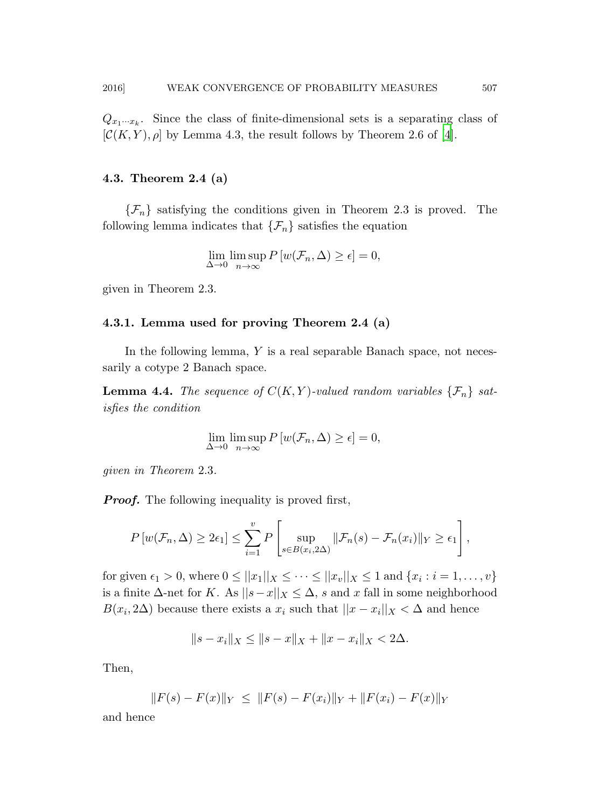$Q_{x_1 \cdots x_k}$ . Since the class of finite-dimensional sets is a separating class of  $[\mathcal{C}(K, Y), \rho]$  by Lemma 4.3, the result follows by Theorem 2.6 of [\[4](#page-33-0)].

### 4.3. Theorem 2.4 (a)

 $\{\mathcal{F}_n\}$  satisfying the conditions given in Theorem 2.3 is proved. The following lemma indicates that  $\{\mathcal{F}_n\}$  satisfies the equation

$$
\lim_{\Delta \to 0} \limsup_{n \to \infty} P[w(\mathcal{F}_n, \Delta) \ge \epsilon] = 0,
$$

given in Theorem 2.3.

#### 4.3.1. Lemma used for proving Theorem 2.4 (a)

In the following lemma,  $Y$  is a real separable Banach space, not necessarily a cotype 2 Banach space.

**Lemma 4.4.** The sequence of  $C(K,Y)$ -valued random variables  $\{\mathcal{F}_n\}$  sat*isfies the condition*

$$
\lim_{\Delta \to 0} \limsup_{n \to \infty} P[w(\mathcal{F}_n, \Delta) \ge \epsilon] = 0,
$$

*given in Theorem* 2.3*.*

**Proof.** The following inequality is proved first,

$$
P\left[w(\mathcal{F}_n,\Delta)\geq 2\epsilon_1\right]\leq \sum_{i=1}^v P\left[\sup_{s\in B(x_i,2\Delta)}\|\mathcal{F}_n(s)-\mathcal{F}_n(x_i)\|_Y\geq \epsilon_1\right],
$$

for given  $\epsilon_1 > 0$ , where  $0 \le ||x_1||_X \le \cdots \le ||x_v||_X \le 1$  and  $\{x_i : i = 1, \ldots, v\}$ is a finite  $\Delta$ -net for K. As  $||s-x||_X \leq \Delta$ , s and x fall in some neighborhood  $B(x_i, 2\Delta)$  because there exists a  $x_i$  such that  $||x - x_i||_X < \Delta$  and hence

$$
||s - xi||X \le ||s - x||X + ||x - xi||X < 2\Delta.
$$

Then,

$$
||F(s) - F(x)||_Y \le ||F(s) - F(x_i)||_Y + ||F(x_i) - F(x)||_Y
$$

and hence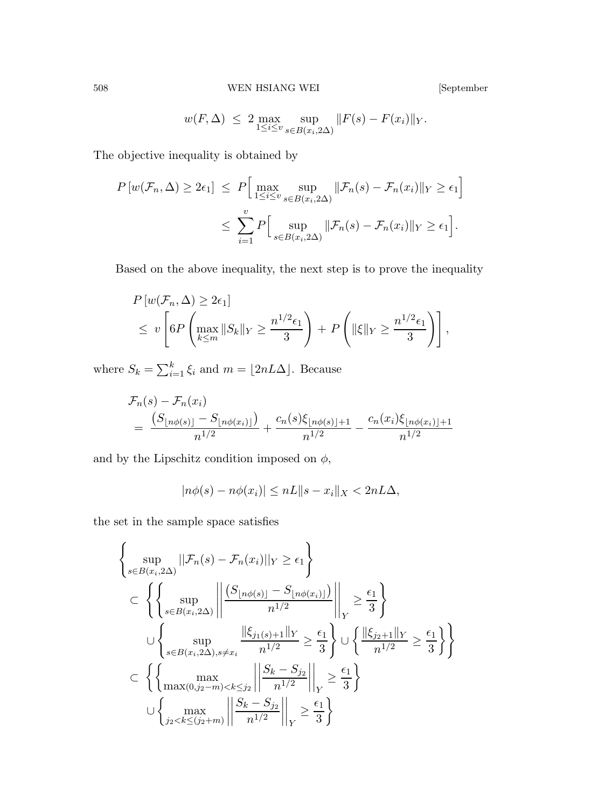$$
w(F, \Delta) \leq 2 \max_{1 \leq i \leq v} \sup_{s \in B(x_i, 2\Delta)} ||F(s) - F(x_i)||_Y.
$$

The objective inequality is obtained by

$$
P\left[w(\mathcal{F}_n, \Delta) \ge 2\epsilon_1\right] \le P\Big[\max_{1 \le i \le v} \sup_{s \in B(x_i, 2\Delta)} \|\mathcal{F}_n(s) - \mathcal{F}_n(x_i)\|_Y \ge \epsilon_1\Big]
$$
  

$$
\le \sum_{i=1}^v P\Big[\sup_{s \in B(x_i, 2\Delta)} \|\mathcal{F}_n(s) - \mathcal{F}_n(x_i)\|_Y \ge \epsilon_1\Big].
$$

Based on the above inequality, the next step is to prove the inequality

$$
P\left[w(\mathcal{F}_n, \Delta) \ge 2\epsilon_1\right]
$$
  
\$\le v \left[6P\left(\max\_{k\le m} \|S\_k\|\_Y \ge \frac{n^{1/2}\epsilon\_1}{3}\right) + P\left(\|\xi\|\_Y \ge \frac{n^{1/2}\epsilon\_1}{3}\right)\right],\$

where  $S_k = \sum_{i=1}^k \xi_i$  and  $m = \lfloor 2nL\Delta \rfloor$ . Because

$$
\mathcal{F}_n(s) - \mathcal{F}_n(x_i)
$$
  
= 
$$
\frac{(S_{\lfloor n\phi(s) \rfloor} - S_{\lfloor n\phi(x_i) \rfloor})}{n^{1/2}} + \frac{c_n(s)\xi_{\lfloor n\phi(s) \rfloor + 1}}{n^{1/2}} - \frac{c_n(x_i)\xi_{\lfloor n\phi(x_i) \rfloor + 1}}{n^{1/2}}
$$

and by the Lipschitz condition imposed on  $\phi$ ,

$$
|n\phi(s) - n\phi(x_i)| \le nL||s - x_i||_X < 2nL\Delta,
$$

the set in the sample space satisfies

$$
\left\{\sup_{s\in B(x_i,2\Delta)}||\mathcal{F}_n(s)-\mathcal{F}_n(x_i)||_Y\geq \epsilon_1\right\}
$$
\n
$$
\subset \left\{\left\{\sup_{s\in B(x_i,2\Delta)}\left|\left|\frac{(S_{\lfloor n\phi(s)\rfloor}-S_{\lfloor n\phi(x_i)\rfloor})}{n^{1/2}}\right|\right|_Y\geq \frac{\epsilon_1}{3}\right\}
$$
\n
$$
\cup \left\{\sup_{s\in B(x_i,2\Delta),s\neq x_i}\frac{\|\xi_{j_1(s)+1}\|_Y}{n^{1/2}}\geq \frac{\epsilon_1}{3}\right\} \cup \left\{\frac{\|\xi_{j_2+1}\|_Y}{n^{1/2}}\geq \frac{\epsilon_1}{3}\right\}\right\}
$$
\n
$$
\subset \left\{\left\{\sup_{\max(0,j_2-m)\n
$$
\cup \left\{\max_{j_2
$$
$$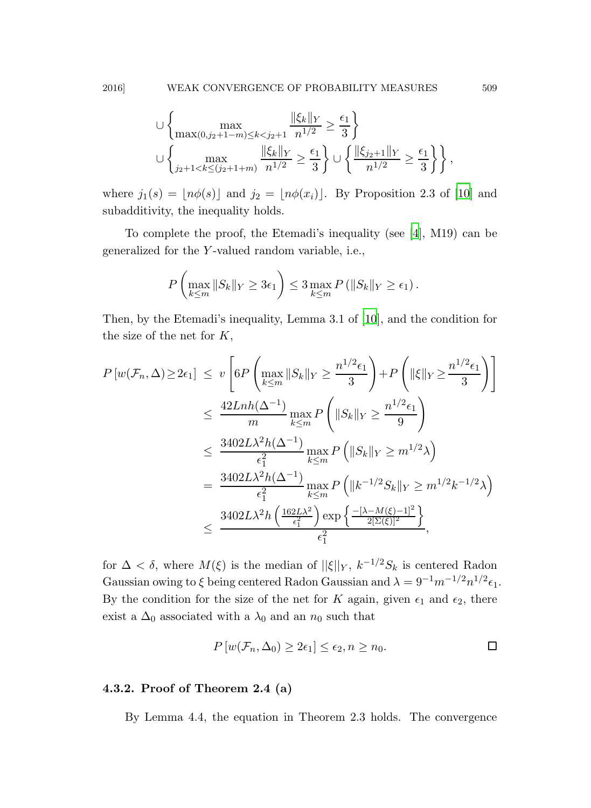$$
\cup \left\{ \max_{\max(0,j_2+1-m)\leq k < j_2+1} \frac{\|\xi_k\|_Y}{n^{1/2}} \geq \frac{\epsilon_1}{3} \right\}
$$
\n
$$
\cup \left\{ \max_{j_2+1 < k \leq (j_2+1+m)} \frac{\|\xi_k\|_Y}{n^{1/2}} \geq \frac{\epsilon_1}{3} \right\} \cup \left\{ \frac{\|\xi_{j_2+1}\|_Y}{n^{1/2}} \geq \frac{\epsilon_1}{3} \right\} \right\},
$$

where  $j_1(s) = \lfloor n\phi(s) \rfloor$  and  $j_2 = \lfloor n\phi(x_i) \rfloor$ . By Proposition 2.3 of [\[10](#page-34-4)] and subadditivity, the inequality holds.

To complete the proof, the Etemadi's inequality (see [\[4\]](#page-33-0), M19) can be generalized for the Y -valued random variable, i.e.,

$$
P\left(\max_{k\leq m}||S_k||_Y\geq 3\epsilon_1\right)\leq 3\max_{k\leq m}P\left(||S_k||_Y\geq \epsilon_1\right).
$$

Then, by the Etemadi's inequality, Lemma 3.1 of [\[10\]](#page-34-4), and the condition for the size of the net for  $K$ ,

$$
P\left[w(\mathcal{F}_n, \Delta) \ge 2\epsilon_1\right] \le v \left[ 6P\left(\max_{k \le m} \|S_k\|_Y \ge \frac{n^{1/2}\epsilon_1}{3}\right) + P\left(\|\xi\|_Y \ge \frac{n^{1/2}\epsilon_1}{3}\right) \right]
$$
  

$$
\le \frac{42Lnh(\Delta^{-1})}{m} \max_{k \le m} P\left(\|S_k\|_Y \ge \frac{n^{1/2}\epsilon_1}{9}\right)
$$
  

$$
\le \frac{3402L\lambda^2h(\Delta^{-1})}{\epsilon_1^2} \max_{k \le m} P\left(\|S_k\|_Y \ge m^{1/2}\lambda\right)
$$
  

$$
= \frac{3402L\lambda^2h(\Delta^{-1})}{\epsilon_1^2} \max_{k \le m} P\left(\|k^{-1/2}S_k\|_Y \ge m^{1/2}k^{-1/2}\lambda\right)
$$
  

$$
\le \frac{3402L\lambda^2h\left(\frac{162L\lambda^2}{\epsilon_1^2}\right) \exp\left\{-\frac{[\lambda - M(\xi) - 1]^2}{2[\Sigma(\xi)]^2}\right\}}{\epsilon_1^2},
$$

for  $\Delta < \delta$ , where  $M(\xi)$  is the median of  $||\xi||_Y$ ,  $k^{-1/2}S_k$  is centered Radon Gaussian owing to  $\xi$  being centered Radon Gaussian and  $\lambda = 9^{-1} m^{-1/2} n^{1/2} \epsilon_1$ . By the condition for the size of the net for K again, given  $\epsilon_1$  and  $\epsilon_2$ , there exist a  $\Delta_0$  associated with a  $\lambda_0$  and an  $n_0$  such that

$$
P\left[w(\mathcal{F}_n,\Delta_0)\geq 2\epsilon_1\right]\leq \epsilon_2, n\geq n_0.
$$

# 4.3.2. Proof of Theorem 2.4 (a)

By Lemma 4.4, the equation in Theorem 2.3 holds. The convergence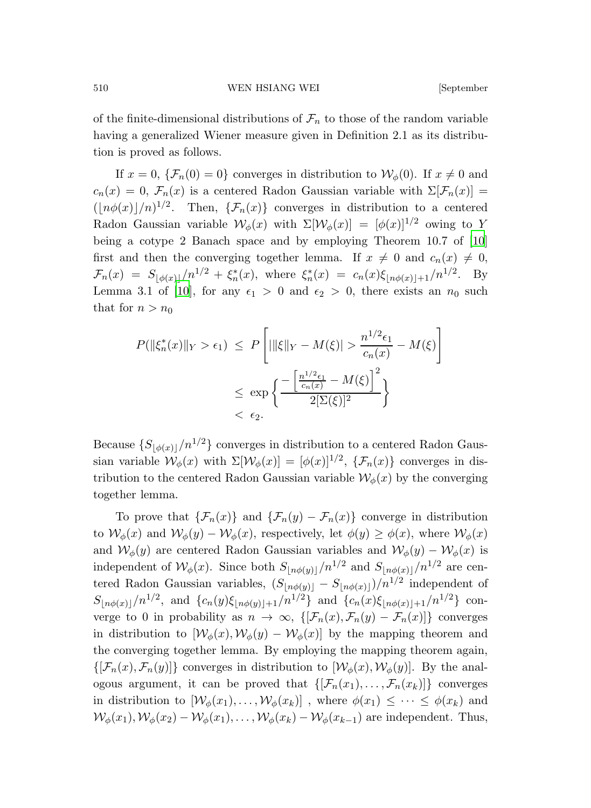of the finite-dimensional distributions of  $\mathcal{F}_n$  to those of the random variable having a generalized Wiener measure given in Definition 2.1 as its distribution is proved as follows.

If  $x = 0$ ,  $\{\mathcal{F}_n(0) = 0\}$  converges in distribution to  $\mathcal{W}_\phi(0)$ . If  $x \neq 0$  and  $c_n(x) = 0$ ,  $\mathcal{F}_n(x)$  is a centered Radon Gaussian variable with  $\Sigma[\mathcal{F}_n(x)] =$  $(\lfloor n\phi(x)\rfloor/n)^{1/2}$ . Then,  $\{\mathcal{F}_n(x)\}\$ converges in distribution to a centered Radon Gaussian variable  $\mathcal{W}_{\phi}(x)$  with  $\Sigma[\mathcal{W}_{\phi}(x)] = [\phi(x)]^{1/2}$  owing to Y being a cotype 2 Banach space and by employing Theorem 10.7 of [\[10\]](#page-34-4) first and then the converging together lemma. If  $x \neq 0$  and  $c_n(x) \neq 0$ ,  $\mathcal{F}_n(x) = S_{\lfloor \phi(x) \rfloor}/n^{1/2} + \xi_n^*(x)$ , where  $\xi_n^*(x) = c_n(x)\xi_{\lfloor n\phi(x) \rfloor + 1}/n^{1/2}$ . By Lemma 3.1 of [\[10](#page-34-4)], for any  $\epsilon_1 > 0$  and  $\epsilon_2 > 0$ , there exists an  $n_0$  such that for  $n > n_0$ 

$$
P(||\xi_n^*(x)||_Y > \epsilon_1) \le P\left[|||\xi||_Y - M(\xi)| > \frac{n^{1/2}\epsilon_1}{c_n(x)} - M(\xi)\right]
$$
  

$$
\le \exp\left\{\frac{-\left[\frac{n^{1/2}\epsilon_1}{c_n(x)} - M(\xi)\right]^2}{2[\Sigma(\xi)]^2}\right\}
$$
  

$$
< \epsilon_2.
$$

Because  $\{S_{\lceil \phi(x) \rceil}/n^{1/2}\}\)$  converges in distribution to a centered Radon Gaussian variable  $\mathcal{W}_{\phi}(x)$  with  $\Sigma[\mathcal{W}_{\phi}(x)] = [\phi(x)]^{1/2}$ ,  $\{\mathcal{F}_n(x)\}$  converges in distribution to the centered Radon Gaussian variable  $\mathcal{W}_{\phi}(x)$  by the converging together lemma.

To prove that  $\{\mathcal{F}_n(x)\}\$  and  $\{\mathcal{F}_n(y) - \mathcal{F}_n(x)\}\$  converge in distribution to  $\mathcal{W}_{\phi}(x)$  and  $\mathcal{W}_{\phi}(y) - \mathcal{W}_{\phi}(x)$ , respectively, let  $\phi(y) \geq \phi(x)$ , where  $\mathcal{W}_{\phi}(x)$ and  $W_{\phi}(y)$  are centered Radon Gaussian variables and  $W_{\phi}(y) - W_{\phi}(x)$  is independent of  $\mathcal{W}_{\phi}(x)$ . Since both  $S_{\lfloor n\phi(y)\rfloor}/n^{1/2}$  and  $S_{\lfloor n\phi(x)\rfloor}/n^{1/2}$  are centered Radon Gaussian variables,  $(S_{\lfloor n\phi(y)\rfloor} - S_{\lfloor n\phi(x)\rfloor})/n^{1/2}$  independent of  $S_{\lfloor n\phi(x)\rfloor}/n^{1/2}$ , and  $\{c_n(y)\xi_{\lfloor n\phi(y)\rfloor+1}/n^{1/2}\}\$  and  $\{c_n(x)\xi_{\lfloor n\phi(x)\rfloor+1}/n^{1/2}\}\$  converge to 0 in probability as  $n \to \infty$ ,  $\{[\mathcal{F}_n(x), \mathcal{F}_n(y) - \mathcal{F}_n(x)]\}$  converges in distribution to  $[\mathcal{W}_{\phi}(x), \mathcal{W}_{\phi}(y) - \mathcal{W}_{\phi}(x)]$  by the mapping theorem and the converging together lemma. By employing the mapping theorem again,  $\{[\mathcal{F}_n(x), \mathcal{F}_n(y)]\}$  converges in distribution to  $[\mathcal{W}_\phi(x), \mathcal{W}_\phi(y)]$ . By the analogous argument, it can be proved that  $\{[\mathcal{F}_n(x_1), \ldots, \mathcal{F}_n(x_k)]\}$  converges in distribution to  $[\mathcal{W}_{\phi}(x_1), \ldots, \mathcal{W}_{\phi}(x_k)]$ , where  $\phi(x_1) \leq \cdots \leq \phi(x_k)$  and  $W_{\phi}(x_1), W_{\phi}(x_2) - W_{\phi}(x_1), \ldots, W_{\phi}(x_k) - W_{\phi}(x_{k-1})$  are independent. Thus,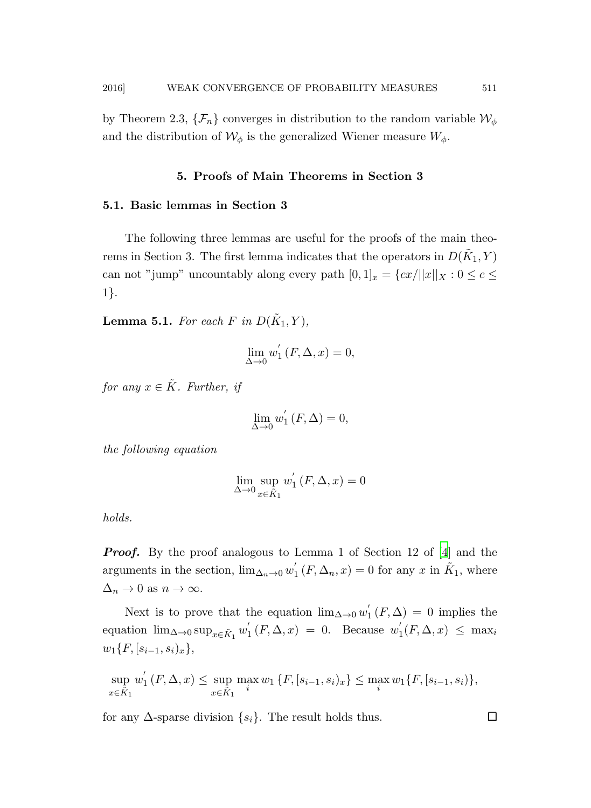by Theorem 2.3,  $\{\mathcal{F}_n\}$  converges in distribution to the random variable  $\mathcal{W}_{\phi}$ and the distribution of  $\mathcal{W}_{\phi}$  is the generalized Wiener measure  $W_{\phi}$ .

### 5. Proofs of Main Theorems in Section 3

### 5.1. Basic lemmas in Section 3

The following three lemmas are useful for the proofs of the main theorems in Section 3. The first lemma indicates that the operators in  $D(\tilde{K}_1, Y)$ can not "jump" uncountably along every path  $[0,1]_x = \{cx/||x||_X : 0 \le c \le$ 1}.

**Lemma 5.1.** For each F in  $D(\tilde{K}_1, Y)$ ,

$$
\lim_{\Delta \to 0} w_1'(F, \Delta, x) = 0,
$$

*for any*  $x \in \tilde{K}$ *. Further, if* 

$$
\lim_{\Delta \to 0} w_1'(F, \Delta) = 0,
$$

*the following equation*

$$
\lim_{\Delta \to 0} \sup_{x \in \tilde{K}_1} w'_1 \left( F, \Delta, x \right) = 0
$$

*holds.*

**Proof.** By the proof analogous to Lemma 1 of Section 12 of [\[4](#page-33-0)] and the arguments in the section,  $\lim_{\Delta_n \to 0} w'_1$  $j_{1}'(F, \Delta_{n}, x) = 0$  for any x in  $\tilde{K}_{1}$ , where  $\Delta_n \to 0$  as  $n \to \infty$ .

Next is to prove that the equation  $\lim_{\Delta\to 0} w_1'$  $f_1(F,\Delta) = 0$  implies the equation  $\lim_{\Delta \to 0} \sup_{x \in \tilde{K}_1} w'_1$  $y_1'(F, \Delta, x) = 0$ . Because  $w_1'$  $\int_1(F, \Delta, x) \leq \max_i$  $w_1\{F, [s_{i-1}, s_i)_x\},\$ 

$$
\sup_{x \in \tilde{K}_1} w'_1(F, \Delta, x) \le \sup_{x \in \tilde{K}_1} \max_i w_1 \{ F, [s_{i-1}, s_i)_x \} \le \max_i w_1 \{ F, [s_{i-1}, s_i] \},
$$

for any  $\Delta$ -sparse division  $\{s_i\}$ . The result holds thus.  $\Box$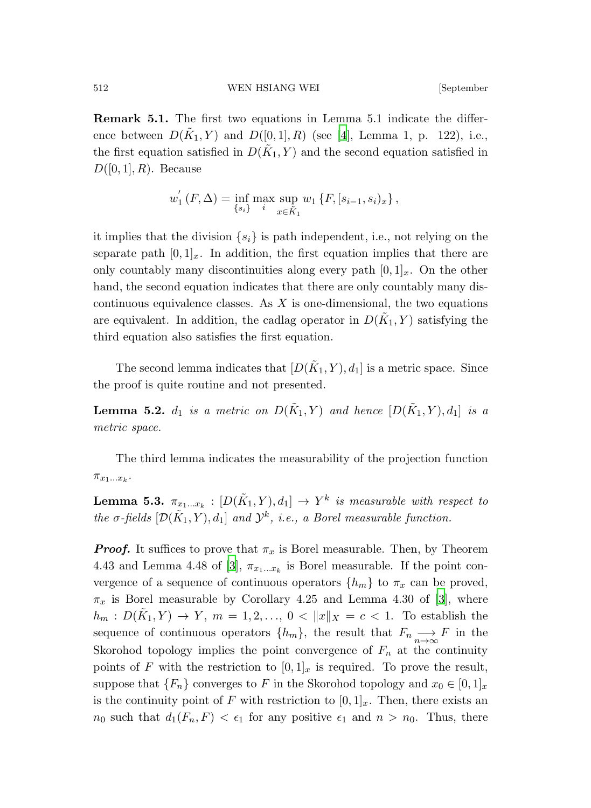Remark 5.1. The first two equations in Lemma 5.1 indicate the difference between  $D(\tilde{K}_1, Y)$  and  $D([0, 1], R)$  (see [\[4](#page-33-0)], Lemma 1, p. 122), i.e., the first equation satisfied in  $D(\tilde{K}_1, Y)$  and the second equation satisfied in  $D([0,1], R)$ . Because

$$
w_1'(F,\Delta) = \inf_{\{s_i\}} \max_i \sup_{x \in \tilde{K}_1} w_1 \{F, [s_{i-1}, s_i)_x\},\,
$$

it implies that the division  $\{s_i\}$  is path independent, i.e., not relying on the separate path  $[0, 1]_x$ . In addition, the first equation implies that there are only countably many discontinuities along every path  $[0, 1]_x$ . On the other hand, the second equation indicates that there are only countably many discontinuous equivalence classes. As  $X$  is one-dimensional, the two equations are equivalent. In addition, the cadlag operator in  $D(\tilde{K}_1, Y)$  satisfying the third equation also satisfies the first equation.

The second lemma indicates that  $[D(\tilde{K}_1, Y), d_1]$  is a metric space. Since the proof is quite routine and not presented.

**Lemma 5.2.**  $d_1$  *is a metric on*  $D(\tilde{K}_1, Y)$  *and hence*  $[D(\tilde{K}_1, Y), d_1]$  *is a metric space.*

The third lemma indicates the measurability of the projection function  $\pi_{x_1...x_k}$ .

**Lemma 5.3.**  $\pi_{x_1...x_k} : [D(\tilde{K}_1, Y), d_1] \rightarrow Y^k$  is measurable with respect to *the*  $\sigma$ -fields  $[\mathcal{D}(\tilde{K}_1, Y), d_1]$  *and*  $\mathcal{Y}^k$ *, i.e., a Borel measurable function.* 

**Proof.** It suffices to prove that  $\pi_x$  is Borel measurable. Then, by Theorem 4.43 and Lemma 4.48 of [\[3\]](#page-33-6),  $\pi_{x_1...x_k}$  is Borel measurable. If the point convergence of a sequence of continuous operators  $\{h_m\}$  to  $\pi_x$  can be proved,  $\pi_x$  is Borel measurable by Corollary 4.25 and Lemma 4.30 of [\[3](#page-33-6)], where  $h_m: D(\tilde{K}_1, Y) \to Y, m = 1, 2, ..., 0 < ||x||_X = c < 1.$  To establish the sequence of continuous operators  $\{h_m\}$ , the result that  $F_n \longrightarrow F$  in the Skorohod topology implies the point convergence of  $F_n$  at the continuity points of F with the restriction to  $[0, 1]_x$  is required. To prove the result, suppose that  $\{F_n\}$  converges to F in the Skorohod topology and  $x_0 \in [0,1]_x$ is the continuity point of F with restriction to  $[0, 1]_x$ . Then, there exists an  $n_0$  such that  $d_1(F_n, F) < \epsilon_1$  for any positive  $\epsilon_1$  and  $n > n_0$ . Thus, there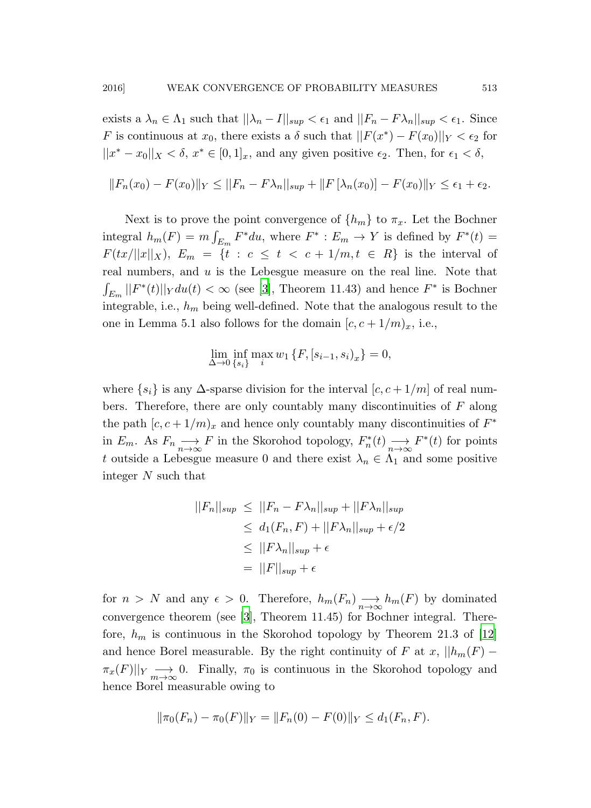exists a  $\lambda_n \in \Lambda_1$  such that  $\|\lambda_n - I\|_{sup} < \epsilon_1$  and  $\|F_n - F\lambda_n\|_{sup} < \epsilon_1$ . Since F is continuous at  $x_0$ , there exists a  $\delta$  such that  $||F(x^*) - F(x_0)||_Y < \epsilon_2$  for  $||x^* - x_0||_X < \delta, x^* \in [0, 1]_x$ , and any given positive  $\epsilon_2$ . Then, for  $\epsilon_1 < \delta$ ,

$$
||F_n(x_0) - F(x_0)||_Y \le ||F_n - F\lambda_n||_{sup} + ||F[\lambda_n(x_0)] - F(x_0)||_Y \le \epsilon_1 + \epsilon_2.
$$

Next is to prove the point convergence of  $\{h_m\}$  to  $\pi_x$ . Let the Bochner integral  $h_m(F) = m \int_{E_m} F^* du$ , where  $F^* : E_m \to Y$  is defined by  $F^*(t) =$  $F(tx/\Vert x\Vert_X), E_m = \{t : c \le t < c + 1/m, t \in R\}$  is the interval of real numbers, and  $u$  is the Lebesgue measure on the real line. Note that  $\int_{E_m} ||F^*(t)||_Y du(t) < \infty$  (see [\[3](#page-33-6)], Theorem 11.43) and hence  $F^*$  is Bochner integrable, i.e.,  $h_m$  being well-defined. Note that the analogous result to the one in Lemma 5.1 also follows for the domain  $[c, c + 1/m)_x$ , i.e.,

$$
\lim_{\Delta \to 0} \inf_{\{s_i\}} \max_i w_1 \{ F, [s_{i-1}, s_i)_x \} = 0,
$$

where  $\{s_i\}$  is any  $\Delta$ -sparse division for the interval  $[c, c + 1/m]$  of real numbers. Therefore, there are only countably many discontinuities of  $F$  along the path  $[c, c + 1/m)_x$  and hence only countably many discontinuities of  $F^*$ in  $E_m$ . As  $F_n \longrightarrow F$  in the Skorohod topology,  $F_n^*(t) \longrightarrow F^*(t)$  for points t outside a Lebesgue measure 0 and there exist  $\lambda_n \in \Lambda_1$  and some positive integer N such that

$$
||F_n||_{sup} \le ||F_n - F\lambda_n||_{sup} + ||F\lambda_n||_{sup}
$$
  
\n
$$
\le d_1(F_n, F) + ||F\lambda_n||_{sup} + \epsilon/2
$$
  
\n
$$
\le ||F\lambda_n||_{sup} + \epsilon
$$
  
\n
$$
= ||F||_{sup} + \epsilon
$$

for  $n > N$  and any  $\epsilon > 0$ . Therefore,  $h_m(F_n) \longrightarrow_{n \to \infty} h_m(F)$  by dominated convergence theorem (see [\[3\]](#page-33-6), Theorem 11.45) for Bochner integral. Therefore,  $h_m$  is continuous in the Skorohod topology by Theorem 21.3 of [\[12](#page-34-6)] and hence Borel measurable. By the right continuity of F at x,  $||h_m(F) \pi_x(F)||_Y \longrightarrow 0.$  Finally,  $\pi_0$  is continuous in the Skorohod topology and hence Borel measurable owing to

$$
\|\pi_0(F_n) - \pi_0(F)\|_Y = \|F_n(0) - F(0)\|_Y \le d_1(F_n, F).
$$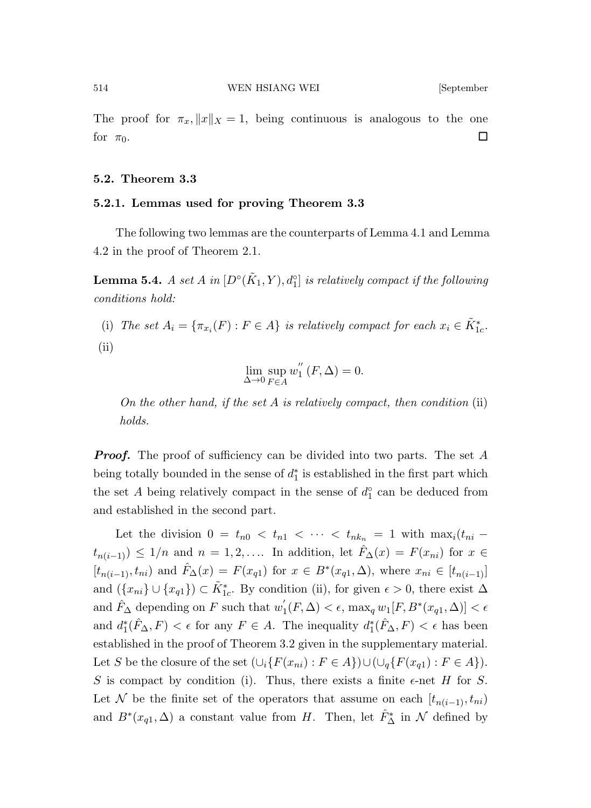The proof for  $\pi_x, \|x\|_X = 1$ , being continuous is analogous to the one for  $\pi_0$ .

### 5.2. Theorem 3.3

### 5.2.1. Lemmas used for proving Theorem 3.3

The following two lemmas are the counterparts of Lemma 4.1 and Lemma 4.2 in the proof of Theorem 2.1.

**Lemma 5.4.** *A set A in*  $[D<sup>o</sup>(\tilde{K}_1, Y), d<sub>1</sub><sup>o</sup>]$  *is relatively compact if the following conditions hold:*

(i) *The set*  $A_i = \{\pi_{x_i}(F) : F \in A\}$  *is relatively compact for each*  $x_i \in \tilde{K}_{1c}^*$ .

(ii)

$$
\lim_{\Delta\to 0}\sup_{F\in A} w_{1}^{''}\left(F,\Delta\right)=0.
$$

*On the other hand, if the set* A *is relatively compact, then condition* (ii) *holds.*

**Proof.** The proof of sufficiency can be divided into two parts. The set A being totally bounded in the sense of  $d_1^*$  is established in the first part which the set A being relatively compact in the sense of  $d_1^{\circ}$  can be deduced from and established in the second part.

Let the division  $0 = t_{n0} < t_{n1} < \cdots < t_{nk_n} = 1$  with  $\max_i (t_{ni}$  $t_{n(i-1)}) \leq 1/n$  and  $n = 1, 2, \ldots$  In addition, let  $\hat{F}_{\Delta}(x) = F(x_{ni})$  for  $x \in$  $[t_{n(i-1)}, t_{ni})$  and  $\hat{F}_{\Delta}(x) = F(x_{q1})$  for  $x \in B^*(x_{q1}, \Delta)$ , where  $x_{ni} \in [t_{n(i-1)}]$ and  $(\{x_{ni}\}\cup\{x_{q1}\})\subset \tilde{K}_{1c}^*$ . By condition (ii), for given  $\epsilon>0$ , there exist  $\Delta$ and  $\hat{F}_{\Delta}$  depending on F such that  $w_1'$  $\mathcal{L}_1(F, \Delta) < \epsilon$ , max<sub>q</sub>  $w_1[F, B^*(x_{q1}, \Delta)] < \epsilon$ and  $d_1^*(\hat{F}_\Delta, F) < \epsilon$  for any  $F \in A$ . The inequality  $d_1^*(\hat{F}_\Delta, F) < \epsilon$  has been established in the proof of Theorem 3.2 given in the supplementary material. Let S be the closure of the set  $(\bigcup_i \{F(x_{ni}) : F \in A\}) \cup (\bigcup_i \{F(x_{q1}) : F \in A\}).$ S is compact by condition (i). Thus, there exists a finite  $\epsilon$ -net H for S. Let N be the finite set of the operators that assume on each  $[t_{n(i-1)}, t_{ni})$ and  $B^*(x_{q1}, \Delta)$  a constant value from H. Then, let  $\hat{F}_{\Delta}^*$  in N defined by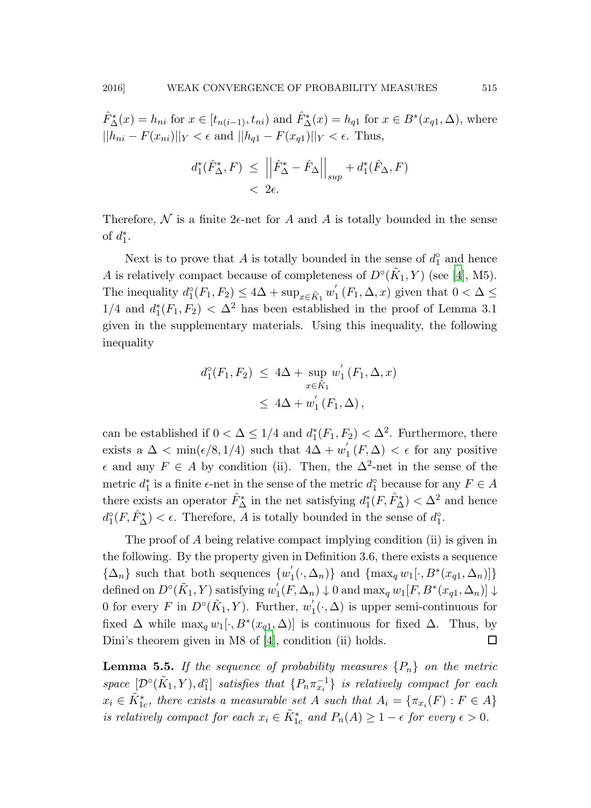$\hat{F}_{\Delta}^*(x) = h_{ni}$  for  $x \in [t_{n(i-1)}, t_{ni})$  and  $\hat{F}_{\Delta}^*(x) = h_{q1}$  for  $x \in B^*(x_{q1}, \Delta)$ , where  $||h_{ni} - F(x_{ni})||_Y < \epsilon$  and  $||h_{q1} - F(x_{q1})||_Y < \epsilon$ . Thus,

$$
d_1^*(\hat{F}_{\Delta}^*, F) \leq \left\| \hat{F}_{\Delta}^* - \hat{F}_{\Delta} \right\|_{sup} + d_1^*(\hat{F}_{\Delta}, F) < 2\epsilon.
$$

Therefore, N is a finite  $2\epsilon$ -net for A and A is totally bounded in the sense of  $d_1^*$ .

Next is to prove that A is totally bounded in the sense of  $d_1^{\circ}$  and hence A is relatively compact because of completeness of  $D^{\circ}(\tilde{K}_1, Y)$  (see [\[4](#page-33-0)], M5). The inequality  $d_1^{\circ}(F_1, F_2) \leq 4\Delta + \sup_{x \in \tilde{K}_1} w'_1$  $f_1(F_1, \Delta, x)$  given that  $0 < \Delta \le$  $1/4$  and  $d_1^*(F_1, F_2) < \Delta^2$  has been established in the proof of Lemma 3.1 given in the supplementary materials. Using this inequality, the following inequality

$$
d_1^{\circ}(F_1, F_2) \le 4\Delta + \sup_{x \in \tilde{K}_1} w'_1(F_1, \Delta, x)
$$
  
 
$$
\le 4\Delta + w'_1(F_1, \Delta),
$$

can be established if  $0 < \Delta \leq 1/4$  and  $d_1^*(F_1, F_2) < \Delta^2$ . Furthermore, there exists a  $\Delta < \min(\epsilon/8, 1/4)$  such that  $4\Delta + w'$  $f_1(F,\Delta) < \epsilon$  for any positive  $\epsilon$  and any  $F \in A$  by condition (ii). Then, the  $\Delta^2$ -net in the sense of the metric  $d_1^*$  is a finite  $\epsilon$ -net in the sense of the metric  $d_1^{\circ}$  because for any  $F \in A$ there exists an operator  $\hat{F}_{\Delta}^*$  in the net satisfying  $d_1^*(F, \hat{F}_{\Delta}^*) < \Delta^2$  and hence  $d_1^{\circ}(F, \hat{F}_{\Delta}^*) < \epsilon$ . Therefore, A is totally bounded in the sense of  $d_1^{\circ}$ .

The proof of A being relative compact implying condition (ii) is given in the following. By the property given in Definition 3.6, there exists a sequence  $\{\Delta_n\}$  such that both sequences  $\{w_1'$  $\{(\cdot,\Delta_n)\}\$ and  $\{\max_q w_1[\cdot,B^*(x_{q1},\Delta_n)]\}$  $\operatorname{defined} \operatorname{on} D^{\circ}(\tilde{K}_1,Y) \operatorname{ satisfying} w_1'$  $\mathcal{N}_1(F, \Delta_n) \downarrow 0$  and  $\max_q w_1[F, B^*(x_{q1}, \Delta_n)] \downarrow$ 0 for every F in  $D^{\circ}(\tilde{K}_1, Y)$ . Further,  $w'_1$  $I_1(\cdot,\Delta)$  is upper semi-continuous for fixed  $\Delta$  while  $\max_q w_1[\cdot, B^*(x_{q1}, \Delta)]$  is continuous for fixed  $\Delta$ . Thus, by Dini's theorem given in M8 of [\[4\]](#page-33-0), condition (ii) holds.  $\square$ 

**Lemma 5.5.** If the sequence of probability measures  $\{P_n\}$  on the metric  $space \ [\mathcal{D}^{\circ}(\tilde{K}_1, Y), d^{\circ}]\$  *satisfies that*  $\{P_n \pi_{x_i}^{-1}\}$  *is relatively compact for each*  $x_i \in \tilde{K}_{1c}^*$ , there exists a measurable set A such that  $A_i = \{\pi_{x_i}(F) : F \in A\}$ *is relatively compact for each*  $x_i \in \tilde{K}_{1c}^*$  and  $P_n(A) \geq 1 - \epsilon$  *for every*  $\epsilon > 0$ *.*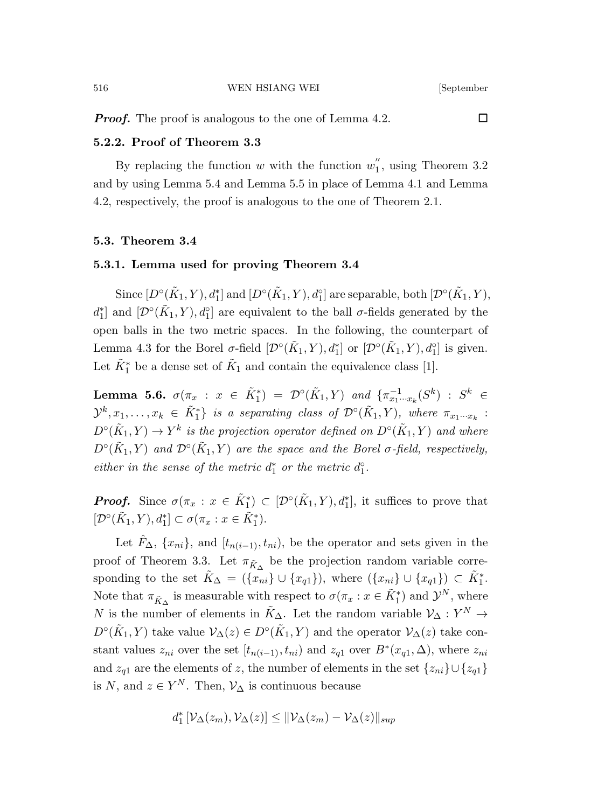**Proof.** The proof is analogous to the one of Lemma 4.2.

# 5.2.2. Proof of Theorem 3.3

By replacing the function  $w$  with the function  $w_1^{''}$  $i_1$ , using Theorem 3.2 and by using Lemma 5.4 and Lemma 5.5 in place of Lemma 4.1 and Lemma 4.2, respectively, the proof is analogous to the one of Theorem 2.1.

### 5.3. Theorem 3.4

### 5.3.1. Lemma used for proving Theorem 3.4

Since  $[D^{\circ}(\tilde{K}_1, Y), d_1^*]$  and  $[D^{\circ}(\tilde{K}_1, Y), d_1^{\circ}]$  are separable, both  $[\mathcal{D}^{\circ}(\tilde{K}_1, Y),$  $d_1^*$  and  $[\mathcal{D}^\circ(\tilde{K}_1, Y), d_1^\circ]$  are equivalent to the ball  $\sigma$ -fields generated by the open balls in the two metric spaces. In the following, the counterpart of Lemma 4.3 for the Borel  $\sigma$ -field  $[\mathcal{D}^{\circ}(\tilde{K}_1, Y), d_1^*]$  or  $[\mathcal{D}^{\circ}(\tilde{K}_1, Y), d_1^{\circ}]$  is given. Let  $\tilde{K}_1^*$  be a dense set of  $\tilde{K}_1$  and contain the equivalence class [1].

Lemma 5.6.  $\sigma(\pi_x : x \in \tilde{K}_1^*) = \mathcal{D}^{\circ}(\tilde{K}_1, Y)$  and  $\{\pi_{x_1 \cdots x_k}^{-1}(S^k) : S^k \in$  $\mathcal{Y}^k, x_1, \ldots, x_k \in \tilde{K}_1^*$  is a separating class of  $\mathcal{D}^\circ(\tilde{K}_1, Y)$ , where  $\pi_{x_1 \cdots x_k}$ :  $D^{\circ}(\tilde{K}_1, Y) \to Y^k$  is the projection operator defined on  $D^{\circ}(\tilde{K}_1, Y)$  and where  $D^{\circ}(\tilde{K}_1, Y)$  *and*  $\mathcal{D}^{\circ}(\tilde{K}_1, Y)$  *are the space and the Borel*  $\sigma$ *-field, respectively, either in the sense of the metric*  $d_1^*$  *or the metric*  $d_1^{\circ}$ *.* 

**Proof.** Since  $\sigma(\pi_x : x \in \tilde{K}_1^*) \subset [\mathcal{D}^{\circ}(\tilde{K}_1, Y), d_1^*],$  it suffices to prove that  $[\mathcal{D}^{\circ}(\tilde{K}_1, Y), d_1^*] \subset \sigma(\pi_x : x \in \tilde{K}_1^*).$ 

Let  $\hat{F}_{\Delta}$ ,  $\{x_{ni}\}$ , and  $[t_{n(i-1)}, t_{ni})$ , be the operator and sets given in the proof of Theorem 3.3. Let  $\pi_{\tilde{K}_{\Delta}}$  be the projection random variable corresponding to the set  $\tilde{K}_{\Delta} = (\{x_{ni}\} \cup \{x_{q1}\})$ , where  $(\{x_{ni}\} \cup \{x_{q1}\}) \subset \tilde{K}_1^*$ . Note that  $\pi_{\tilde{K}_{\Delta}}$  is measurable with respect to  $\sigma(\pi_x : x \in \tilde{K}_1^*)$  and  $\mathcal{Y}^N$ , where N is the number of elements in  $\tilde{K}_{\Delta}$ . Let the random variable  $\mathcal{V}_{\Delta}: Y^N \to$  $D^{\circ}(\tilde{K}_1, Y)$  take value  $\mathcal{V}_{\Delta}(z) \in D^{\circ}(\tilde{K}_1, Y)$  and the operator  $\mathcal{V}_{\Delta}(z)$  take constant values  $z_{ni}$  over the set  $[t_{n(i-1)}, t_{ni})$  and  $z_{q1}$  over  $B^*(x_{q1}, \Delta)$ , where  $z_{ni}$ and  $z_{q1}$  are the elements of z, the number of elements in the set  $\{z_{ni}\}\cup\{z_{q1}\}\$ is N, and  $z \in Y^N$ . Then,  $\mathcal{V}_{\Delta}$  is continuous because

$$
d_1^* \left[ \mathcal{V}_\Delta(z_m), \mathcal{V}_\Delta(z) \right] \leq \|\mathcal{V}_\Delta(z_m) - \mathcal{V}_\Delta(z)\|_{\sup}
$$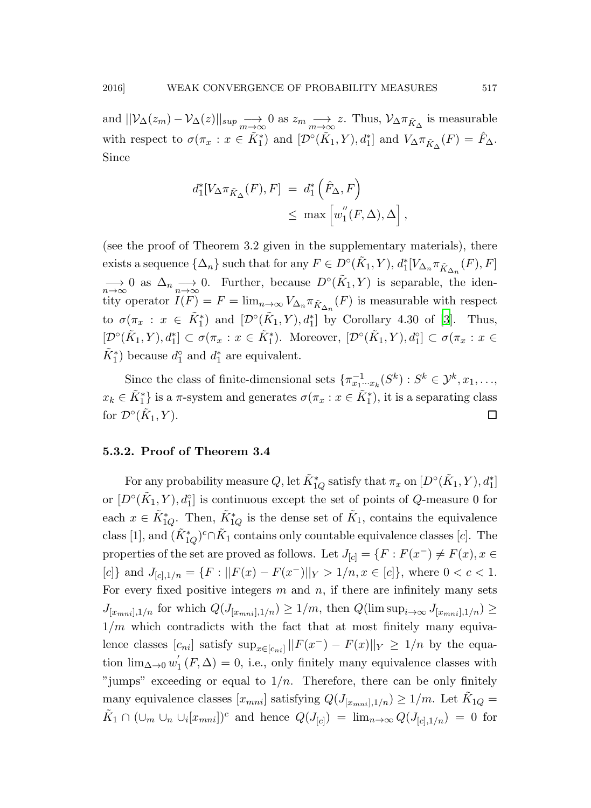and  $||\mathcal{V}_{\Delta}(z_m) - \mathcal{V}_{\Delta}(z)||_{sup} \longrightarrow_{m \to \infty} 0$  as  $z_m \longrightarrow_{m \to \infty} z$ . Thus,  $\mathcal{V}_{\Delta} \pi_{\tilde{K}_{\Delta}}$  is measurable with respect to  $\sigma(\pi_x : x \in \tilde{K}_1^*)$  and  $[\mathcal{D}^\circ(\tilde{K}_1, Y), d_1^*]$  and  $V_{\Delta} \pi_{\tilde{K}_{\Delta}}(F) = \hat{F}_{\Delta}$ . Since

$$
d_1^*[V_\Delta \pi_{\tilde{K}_\Delta}(F), F] = d_1^* \left( \hat{F}_\Delta, F \right)
$$
  

$$
\leq \max \left[ w_1''(F, \Delta), \Delta \right],
$$

(see the proof of Theorem 3.2 given in the supplementary materials), there exists a sequence  $\{\Delta_n\}$  such that for any  $F \in D^{\circ}(\tilde{K}_1, Y), d_1^*[V_{\Delta_n} \pi_{\tilde{K}_{\Delta_n}}(F), F]$  $\longrightarrow_{n\to\infty} 0$  as  $\Delta_n \longrightarrow_{n\to\infty} 0$ . Further, because  $D^{\circ}(\tilde{K}_1, Y)$  is separable, the identity operator  $I(F) = F = \lim_{n \to \infty} V_{\Delta_n} \pi_{\tilde{K}_{\Delta_n}}(F)$  is measurable with respect to  $\sigma(\pi_x : x \in \tilde{K}_1^*)$  and  $[\mathcal{D}^\circ(\tilde{K}_1, Y), d_1^*]$  by Corollary 4.30 of [\[3](#page-33-6)]. Thus,  $[\mathcal{D}^{\circ}(\tilde{K}_1, Y), d_1^*] \subset \sigma(\pi_x : x \in \tilde{K}_1^*).$  Moreover,  $[\mathcal{D}^{\circ}(\tilde{K}_1, Y), d_1^{\circ}] \subset \sigma(\pi_x : x \in$  $\tilde{K}_1^*$ ) because  $d_1^{\circ}$  and  $d_1^*$  are equivalent.

Since the class of finite-dimensional sets  $\{\pi_{x_1\cdots x_k}^{-1}(S^k): S^k \in \mathcal{Y}^k, x_1, \ldots, x_k\}$  $x_k \in \tilde{K}_1^*$  is a  $\pi$ -system and generates  $\sigma(\pi_x : x \in \tilde{K}_1^*)$ , it is a separating class for  $\mathcal{D}^\circ(\tilde{K})$  $(1, Y)$ .

# 5.3.2. Proof of Theorem 3.4

For any probability measure  $Q$ , let  $\tilde{K}_{1Q}^{*}$  satisfy that  $\pi_x$  on  $[D^{\circ}(\tilde{K}_1, Y), d_1^{*}]$ or  $[D^{\circ}(\tilde{K}_1, Y), d_1^{\circ}]$  is continuous except the set of points of Q-measure 0 for each  $x \in \tilde{K}_{1Q}^*$ . Then,  $\tilde{K}_{1Q}^*$  is the dense set of  $\tilde{K}_1$ , contains the equivalence class [1], and  $(\tilde{K}_{1Q}^*)^c \cap \tilde{K}_1$  contains only countable equivalence classes [*c*]. The properties of the set are proved as follows. Let  $J_{[c]} = \{F : F(x^-) \neq F(x), x \in$ [c]} and  $J_{[c],1/n} = \{F : ||F(x) - F(x^-)||_Y > 1/n, x \in [c]\}$ , where  $0 < c < 1$ . For every fixed positive integers  $m$  and  $n$ , if there are infinitely many sets  $J_{[x_{mni}],1/n}$  for which  $Q(J_{[x_{mni}],1/n}) \geq 1/m$ , then  $Q(\limsup_{i\to\infty} J_{[x_{mni}],1/n}) \geq$  $1/m$  which contradicts with the fact that at most finitely many equivalence classes  $[c_{ni}]$  satisfy  $\sup_{x \in [c_{ni}]} ||F(x^{-}) - F(x)||_{Y} \geq 1/n$  by the equation  $\lim_{\Delta\to 0} w_1'$  $I_1(F, \Delta) = 0$ , i.e., only finitely many equivalence classes with "jumps" exceeding or equal to  $1/n$ . Therefore, there can be only finitely many equivalence classes  $[x_{mni}]$  satisfying  $Q(J_{[x_{mni}],1/n}) \geq 1/m$ . Let  $\tilde{K}_{1Q} =$  $\tilde{K}_1 \cap (\cup_m \cup_n \cup_i [x_{mni}])^c$  and hence  $Q(J_{[c]}) = \lim_{n \to \infty} Q(J_{[c],1/n}) = 0$  for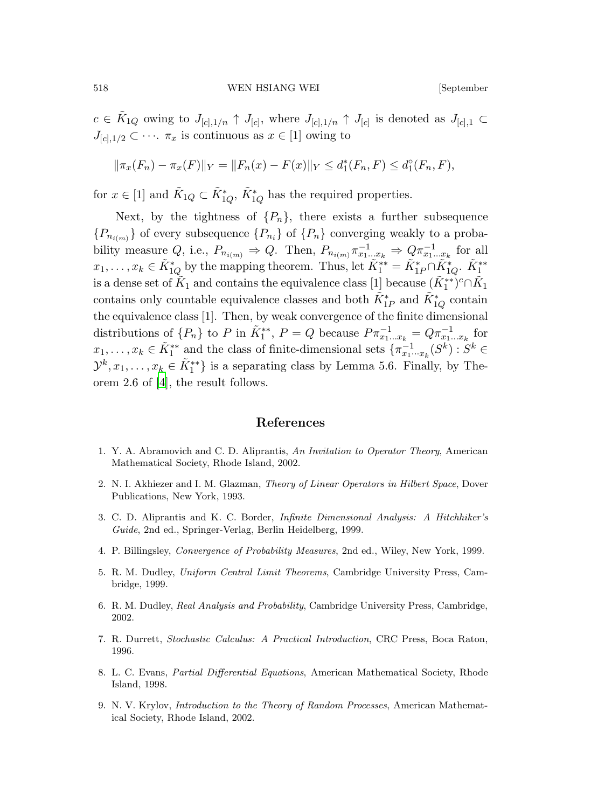$c \in \tilde{K}_{1Q}$  owing to  $J_{[c],1/n} \uparrow J_{[c]}$ , where  $J_{[c],1/n} \uparrow J_{[c]}$  is denoted as  $J_{[c],1} \subset$  $J_{[c],1/2} \subset \cdots$   $\pi_x$  is continuous as  $x \in [1]$  owing to

$$
\|\pi_x(F_n) - \pi_x(F)\|_Y = \|F_n(x) - F(x)\|_Y \le d_1^*(F_n, F) \le d_1^{\circ}(F_n, F),
$$

for  $x \in [1]$  and  $\tilde{K}_{1Q} \subset \tilde{K}_{1Q}^*$ ,  $\tilde{K}_{1Q}^*$  has the required properties.

Next, by the tightness of  $\{P_n\}$ , there exists a further subsequence  ${P_{n_{i(m)}}}$  of every subsequence  ${P_{n_i}}$  of  ${P_n}$  converging weakly to a probability measure Q, i.e.,  $P_{n_{i(m)}} \Rightarrow Q$ . Then,  $P_{n_{i(m)}} \pi_{x_1...x_k}^{-1} \Rightarrow Q \pi_{x_1...x_k}^{-1}$  for all  $x_1, \ldots, x_k \in \tilde{K}_{1Q}^*$  by the mapping theorem. Thus, let  $\tilde{K}_1^{**} = \tilde{K}_{1P}^* \cap \tilde{K}_{1Q}^*$ .  $\tilde{K}_1^{**}$ is a dense set of  $\tilde K_1$  and contains the equivalence class  $[1]$  because  $(\tilde K_1^{**})^c \cap \tilde K_1$ contains only countable equivalence classes and both  $\tilde{K}_{1P}^*$  and  $\tilde{K}_{1Q}^*$  contain the equivalence class [1]. Then, by weak convergence of the finite dimensional distributions of  $\{P_n\}$  to P in  $\tilde{K}_1^{**}$ ,  $P = Q$  because  $P \pi_{x_1...x_k}^{-1} = Q \pi_{x_1...x_k}^{-1}$  for  $x_1, \ldots, x_k \in \tilde{K}_1^{**}$  and the class of finite-dimensional sets  $\{\pi_{x_1 \cdots x_k}^{-1}(S^k) : S^k \in$  $\mathcal{Y}^k, x_1, \ldots, x_k \in \tilde{K}_1^{**}$  is a separating class by Lemma 5.6. Finally, by Theorem 2.6 of [\[4\]](#page-33-0), the result follows.

### References

- <span id="page-33-3"></span>1. Y. A. Abramovich and C. D. Aliprantis, An Invitation to Operator Theory, American Mathematical Society, Rhode Island, 2002.
- <span id="page-33-2"></span>2. N. I. Akhiezer and I. M. Glazman, Theory of Linear Operators in Hilbert Space, Dover Publications, New York, 1993.
- <span id="page-33-6"></span>3. C. D. Aliprantis and K. C. Border, Infinite Dimensional Analysis: A Hitchhiker's Guide, 2nd ed., Springer-Verlag, Berlin Heidelberg, 1999.
- <span id="page-33-0"></span>4. P. Billingsley, Convergence of Probability Measures, 2nd ed., Wiley, New York, 1999.
- <span id="page-33-1"></span>5. R. M. Dudley, Uniform Central Limit Theorems, Cambridge University Press, Cambridge, 1999.
- <span id="page-33-7"></span>6. R. M. Dudley, Real Analysis and Probability, Cambridge University Press, Cambridge, 2002.
- <span id="page-33-5"></span>7. R. Durrett, Stochastic Calculus: A Practical Introduction, CRC Press, Boca Raton, 1996.
- <span id="page-33-4"></span>8. L. C. Evans, Partial Differential Equations, American Mathematical Society, Rhode Island, 1998.
- <span id="page-33-8"></span>9. N. V. Krylov, Introduction to the Theory of Random Processes, American Mathematical Society, Rhode Island, 2002.